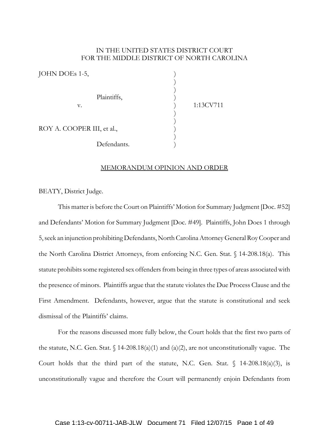# IN THE UNITED STATES DISTRICT COURT FOR THE MIDDLE DISTRICT OF NORTH CAROLINA

| JOHN DOEs 1-5,             |           |
|----------------------------|-----------|
|                            |           |
|                            |           |
| Plaintiffs,                |           |
| v.                         | 1:13CV711 |
|                            |           |
| ROY A. COOPER III, et al., |           |
|                            |           |
| Defendants.                |           |

### MEMORANDUM OPINION AND ORDER

BEATY, District Judge.

This matter is before the Court on Plaintiffs' Motion for Summary Judgment [Doc. #52] and Defendants' Motion for Summary Judgment [Doc. #49]. Plaintiffs, John Does 1 through 5, seek an injunction prohibiting Defendants, North Carolina Attorney General Roy Cooper and the North Carolina District Attorneys, from enforcing N.C. Gen. Stat. § 14-208.18(a). This statute prohibits some registered sex offenders from being in three types of areas associated with the presence of minors. Plaintiffs argue that the statute violates the Due Process Clause and the First Amendment. Defendants, however, argue that the statute is constitutional and seek dismissal of the Plaintiffs' claims.

For the reasons discussed more fully below, the Court holds that the first two parts of the statute, N.C. Gen. Stat.  $\int$  14-208.18(a)(1) and (a)(2), are not unconstitutionally vague. The Court holds that the third part of the statute, N.C. Gen. Stat.  $\frac{14-208.18(a)(3)}{s}$  is unconstitutionally vague and therefore the Court will permanently enjoin Defendants from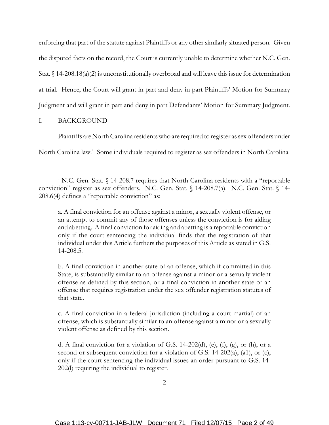enforcing that part of the statute against Plaintiffs or any other similarly situated person. Given the disputed facts on the record, the Court is currently unable to determine whether N.C. Gen. Stat.  $\S 14-208.18(a)(2)$  is unconstitutionally overbroad and will leave this issue for determination at trial. Hence, the Court will grant in part and deny in part Plaintiffs' Motion for Summary Judgment and will grant in part and deny in part Defendants' Motion for Summary Judgment.

## I. BACKGROUND

Plaintiffs are North Carolina residents who are required to register as sex offenders under

North Carolina law.<sup>1</sup> Some individuals required to register as sex offenders in North Carolina

a. A final conviction for an offense against a minor, a sexually violent offense, or an attempt to commit any of those offenses unless the conviction is for aiding and abetting. A final conviction for aiding and abetting is a reportable conviction only if the court sentencing the individual finds that the registration of that individual under this Article furthers the purposes of this Article as stated in G.S. 14-208.5.

b. A final conviction in another state of an offense, which if committed in this State, is substantially similar to an offense against a minor or a sexually violent offense as defined by this section, or a final conviction in another state of an offense that requires registration under the sex offender registration statutes of that state.

c. A final conviction in a federal jurisdiction (including a court martial) of an offense, which is substantially similar to an offense against a minor or a sexually violent offense as defined by this section.

d. A final conviction for a violation of G.S. 14-202(d), (e), (f), (g), or (h), or a second or subsequent conviction for a violation of G.S. 14-202(a), (a1), or (c), only if the court sentencing the individual issues an order pursuant to G.S. 14- 202(l) requiring the individual to register.

<sup>&</sup>lt;sup>1</sup> N.C. Gen. Stat.  $\S$  14-208.7 requires that North Carolina residents with a "reportable" conviction" register as sex offenders. N.C. Gen. Stat. § 14-208.7(a). N.C. Gen. Stat. § 14- 208.6(4) defines a "reportable conviction" as: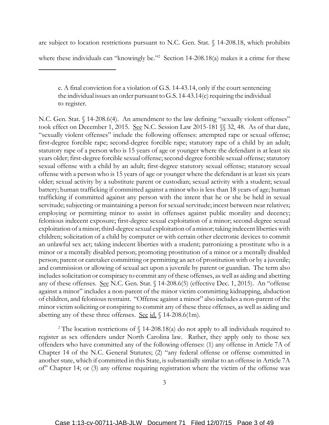are subject to location restrictions pursuant to N.C. Gen. Stat. § 14-208.18, which prohibits

where these individuals can "knowingly be."<sup>2</sup> Section 14-208.18(a) makes it a crime for these

N.C. Gen. Stat. § 14-208.6(4). An amendment to the law defining "sexually violent offenses" took effect on December 1, 2015. See N.C. Session Law 2015-181 §§ 32, 48. As of that date, "sexually violent offenses" include the following offenses: attempted rape or sexual offense; first-degree forcible rape; second-degree forcible rape; statutory rape of a child by an adult; statutory rape of a person who is 15 years of age or younger where the defendant is at least six years older; first-degree forcible sexual offense; second-degree forcible sexual offense; statutory sexual offense with a child by an adult; first-degree statutory sexual offense; statutory sexual offense with a person who is 15 years of age or younger where the defendant is at least six years older; sexual activity by a substitute parent or custodian; sexual activity with a student; sexual battery; human trafficking if committed against a minor who is less than 18 years of age; human trafficking if committed against any person with the intent that he or she be held in sexual servitude; subjecting or maintaining a person for sexual servitude; incest between near relatives; employing or permitting minor to assist in offenses against public morality and decency; felonious indecent exposure; first-degree sexual exploitation of a minor; second-degree sexual exploitation of a minor; third-degree sexual exploitation of a minor; taking indecent liberties with children; solicitation of a child by computer or with certain other electronic devices to commit an unlawful sex act; taking indecent liberties with a student; patronizing a prostitute who is a minor or a mentally disabled person; promoting prostitution of a minor or a mentally disabled person; parent or caretaker committing or permitting an act of prostitution with or by a juvenile; and commission or allowing of sexual act upon a juvenile by parent or guardian. The term also includes solicitation or conspiracy to commit any of these offenses, as well as aiding and abetting any of these offenses. See N.C. Gen. Stat. § 14-208.6(5) (effective Dec. 1, 2015). An "offense against a minor" includes a non-parent of the minor victim committing kidnapping, abduction of children, and felonious restraint. "Offense against a minor" also includes a non-parent of the minor victim soliciting or conspiring to commit any of these three offenses, as well as aiding and abetting any of these three offenses. See id.  $\sqrt{14-208.6(1m)}$ .

<sup>2</sup> The location restrictions of  $\int$  14-208.18(a) do not apply to all individuals required to register as sex offenders under North Carolina law. Rather, they apply only to those sex offenders who have committed any of the following offenses: (1) any offense in Article 7A of Chapter 14 of the N.C. General Statutes; (2) "any federal offense or offense committed in another state, which if committed in this State, is substantially similar to an offense in Article 7A of" Chapter 14; or (3) any offense requiring registration where the victim of the offense was

e. A final conviction for a violation of G.S. 14-43.14, only if the court sentencing the individual issues an order pursuant to G.S. 14-43.14(e) requiring the individual to register.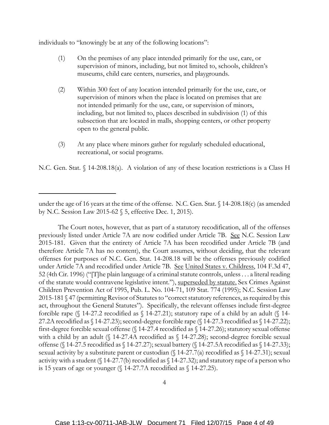individuals to "knowingly be at any of the following locations":

- (1) On the premises of any place intended primarily for the use, care, or supervision of minors, including, but not limited to, schools, children's museums, child care centers, nurseries, and playgrounds.
- (2) Within 300 feet of any location intended primarily for the use, care, or supervision of minors when the place is located on premises that are not intended primarily for the use, care, or supervision of minors, including, but not limited to, places described in subdivision (1) of this subsection that are located in malls, shopping centers, or other property open to the general public.
- (3) At any place where minors gather for regularly scheduled educational, recreational, or social programs.

N.C. Gen. Stat. § 14-208.18(a). A violation of any of these location restrictions is a Class H

The Court notes, however, that as part of a statutory recodification, all of the offenses previously listed under Article 7A are now codified under Article 7B. See N.C. Session Law 2015-181. Given that the entirety of Article 7A has been recodified under Article 7B (and therefore Article 7A has no content), the Court assumes, without deciding, that the relevant offenses for purposes of N.C. Gen. Stat. 14-208.18 will be the offenses previously codified under Article 7A and recodified under Article 7B. See United States v. Childress, 104 F.3d 47, 52 (4th Cir. 1996) ("[T]he plain language of a criminal statute controls, unless . . . a literal reading of the statute would contravene legislative intent."), superseded by statute, Sex Crimes Against Children Prevention Act of 1995, Pub. L. No. 104-71, 109 Stat. 774 (1995); N.C. Session Law 2015-181 § 47 (permitting Revisor of Statutes to "correct statutory references, as required by this act, throughout the General Statutes"). Specifically, the relevant offenses include first-degree forcible rape ( $\{\$  14-27.2 recodified as  $\{\}$  14-27.21); statutory rape of a child by an adult ( $\{\}$  14-27.2A recodified as § 14-27.23); second-degree forcible rape (§ 14-27.3 recodified as § 14-27.22); first-degree forcible sexual offense (§ 14-27.4 recodified as § 14-27.26); statutory sexual offense with a child by an adult (§ 14-27.4A recodified as § 14-27.28); second-degree forcible sexual offense (§ 14-27.5 recodified as § 14-27.27); sexual battery (§ 14-27.5A recodified as § 14-27.33); sexual activity by a substitute parent or custodian (§ 14-27.7(a) recodified as § 14-27.31); sexual activity with a student ( $\{\$$  14-27.7(b) recodified as  $\$\$  14-27.32); and statutory rape of a person who is 15 years of age or younger (§ 14-27.7A recodified as § 14-27.25).

under the age of 16 years at the time of the offense. N.C. Gen. Stat. § 14-208.18(c) (as amended by N.C. Session Law 2015-62 § 5, effective Dec. 1, 2015).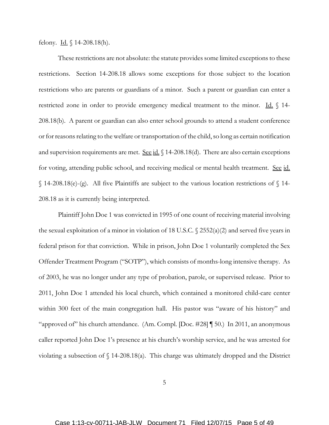felony. Id.  $\{(14-208.18(h))\}$ .

These restrictions are not absolute: the statute provides some limited exceptions to these restrictions. Section 14-208.18 allows some exceptions for those subject to the location restrictions who are parents or guardians of a minor. Such a parent or guardian can enter a restricted zone in order to provide emergency medical treatment to the minor. Id.  $\int$  14-208.18(b). A parent or guardian can also enter school grounds to attend a student conference or for reasons relating to the welfare or transportation of the child, so long as certain notification and supervision requirements are met. See  $id. \S$  14-208.18(d). There are also certain exceptions for voting, attending public school, and receiving medical or mental health treatment. See id.  $\{\$  14-208.18(e)-(g). All five Plaintiffs are subject to the various location restrictions of  $\{\$  14-208.18 as it is currently being interpreted.

Plaintiff John Doe 1 was convicted in 1995 of one count of receiving material involving the sexual exploitation of a minor in violation of 18 U.S.C.  $\sqrt{2552(a)(2)}$  and served five years in federal prison for that conviction. While in prison, John Doe 1 voluntarily completed the Sex Offender Treatment Program ("SOTP"), which consists of months-long intensive therapy. As of 2003, he was no longer under any type of probation, parole, or supervised release. Prior to 2011, John Doe 1 attended his local church, which contained a monitored child-care center within 300 feet of the main congregation hall. His pastor was "aware of his history" and "approved of" his church attendance. (Am. Compl. [Doc. #28] ¶ 50.) In 2011, an anonymous caller reported John Doe 1's presence at his church's worship service, and he was arrested for violating a subsection of  $\int$  14-208.18(a). This charge was ultimately dropped and the District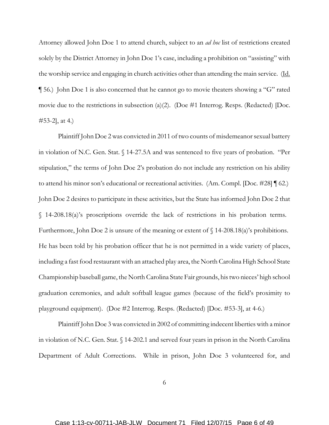Attorney allowed John Doe 1 to attend church, subject to an *ad hoc* list of restrictions created solely by the District Attorney in John Doe 1's case, including a prohibition on "assisting" with the worship service and engaging in church activities other than attending the main service. (Id. ¶ 56.) John Doe 1 is also concerned that he cannot go to movie theaters showing a "G" rated movie due to the restrictions in subsection (a)(2). (Doe #1 Interrog. Resps. (Redacted) [Doc. #53-2], at 4.)

Plaintiff John Doe 2 was convicted in 2011 of two counts of misdemeanor sexual battery in violation of N.C. Gen. Stat. § 14-27.5A and was sentenced to five years of probation. "Per stipulation," the terms of John Doe 2's probation do not include any restriction on his ability to attend his minor son's educational or recreational activities. (Am. Compl. [Doc. #28] ¶ 62.) John Doe 2 desires to participate in these activities, but the State has informed John Doe 2 that § 14-208.18(a)'s proscriptions override the lack of restrictions in his probation terms. Furthermore, John Doe 2 is unsure of the meaning or extent of  $\int$  14-208.18(a)'s prohibitions. He has been told by his probation officer that he is not permitted in a wide variety of places, including a fast food restaurant with an attached play area, the North Carolina High School State Championship baseball game, the North Carolina State Fair grounds, his two nieces' high school graduation ceremonies, and adult softball league games (because of the field's proximity to playground equipment). (Doe #2 Interrog. Resps. (Redacted) [Doc. #53-3], at 4-6.)

Plaintiff John Doe 3 was convicted in 2002 of committing indecent liberties with a minor in violation of N.C. Gen. Stat. § 14-202.1 and served four years in prison in the North Carolina Department of Adult Corrections. While in prison, John Doe 3 volunteered for, and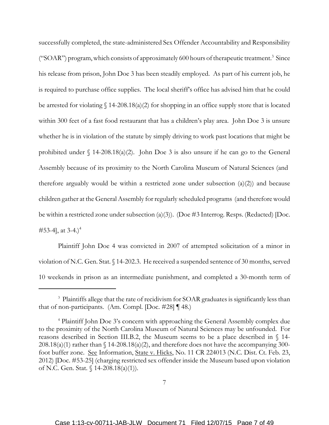successfully completed, the state-administered Sex Offender Accountability and Responsibility ("SOAR") program, which consists of approximately 600 hours of therapeutic treatment.<sup>3</sup> Since his release from prison, John Doe 3 has been steadily employed. As part of his current job, he is required to purchase office supplies. The local sheriff's office has advised him that he could be arrested for violating  $\{(14-208.18(a)(2) \text{ for shopping in an office supply store that is located})\}$ within 300 feet of a fast food restaurant that has a children's play area. John Doe 3 is unsure whether he is in violation of the statute by simply driving to work past locations that might be prohibited under  $\int$  14-208.18(a)(2). John Doe 3 is also unsure if he can go to the General Assembly because of its proximity to the North Carolina Museum of Natural Sciences (and therefore arguably would be within a restricted zone under subsection  $(a)(2)$  and because children gather at the General Assembly for regularly scheduled programs (and therefore would be within a restricted zone under subsection (a)(3)). (Doe #3 Interrog. Resps. (Redacted) [Doc. #53-4, at  $3-4.$ )<sup>4</sup>

Plaintiff John Doe 4 was convicted in 2007 of attempted solicitation of a minor in violation of N.C. Gen. Stat. § 14-202.3. He received a suspended sentence of 30 months, served 10 weekends in prison as an intermediate punishment, and completed a 30-month term of

<sup>&</sup>lt;sup>3</sup> Plaintiffs allege that the rate of recidivism for SOAR graduates is significantly less than that of non-participants. (Am. Compl. [Doc. #28] ¶ 48.)

<sup>4</sup> Plaintiff John Doe 3's concern with approaching the General Assembly complex due to the proximity of the North Carolina Museum of Natural Sciences may be unfounded. For reasons described in Section III.B.2, the Museum seems to be a place described in § 14-  $208.18(a)(1)$  rather than § 14-208.18(a)(2), and therefore does not have the accompanying 300foot buffer zone. See Information, State v. Hicks, No. 11 CR 224013 (N.C. Dist. Ct. Feb. 23, 2012) [Doc. #53-25] (charging restricted sex offender inside the Museum based upon violation of N.C. Gen. Stat. § 14-208.18(a)(1)).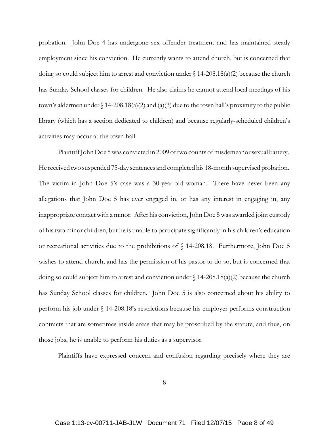probation. John Doe 4 has undergone sex offender treatment and has maintained steady employment since his conviction. He currently wants to attend church, but is concerned that doing so could subject him to arrest and conviction under § 14-208.18(a)(2) because the church has Sunday School classes for children. He also claims he cannot attend local meetings of his town's aldermen under  $\{(14-208.18(a)(2) \text{ and } (a)(3) \text{ due to the town hall's proximity to the public}\}$ library (which has a section dedicated to children) and because regularly-scheduled children's activities may occur at the town hall.

Plaintiff John Doe 5 was convicted in 2009 of two counts of misdemeanor sexual battery. He received two suspended 75-day sentences and completed his 18-month supervised probation. The victim in John Doe 5's case was a 30-year-old woman. There have never been any allegations that John Doe 5 has ever engaged in, or has any interest in engaging in, any inappropriate contact with a minor. After his conviction, John Doe 5 was awarded joint custody of his two minor children, but he is unable to participate significantly in his children's education or recreational activities due to the prohibitions of § 14-208.18. Furthermore, John Doe 5 wishes to attend church, and has the permission of his pastor to do so, but is concerned that doing so could subject him to arrest and conviction under § 14-208.18(a)(2) because the church has Sunday School classes for children. John Doe 5 is also concerned about his ability to perform his job under § 14-208.18's restrictions because his employer performs construction contracts that are sometimes inside areas that may be proscribed by the statute, and thus, on those jobs, he is unable to perform his duties as a supervisor.

Plaintiffs have expressed concern and confusion regarding precisely where they are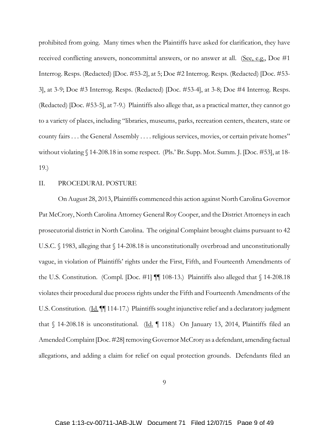prohibited from going. Many times when the Plaintiffs have asked for clarification, they have received conflicting answers, noncommittal answers, or no answer at all. (See, e.g., Doe #1 Interrog. Resps. (Redacted) [Doc. #53-2], at 5; Doe #2 Interrog. Resps. (Redacted) [Doc. #53- 3], at 3-9; Doe #3 Interrog. Resps. (Redacted) [Doc. #53-4], at 3-8; Doe #4 Interrog. Resps. (Redacted) [Doc. #53-5], at 7-9.) Plaintiffs also allege that, as a practical matter, they cannot go to a variety of places, including "libraries, museums, parks, recreation centers, theaters, state or county fairs . . . the General Assembly . . . . religious services, movies, or certain private homes" without violating § 14-208.18 in some respect. (Pls.' Br. Supp. Mot. Summ. J. [Doc. #53], at 18- 19.)

## II. PROCEDURAL POSTURE

On August 28, 2013, Plaintiffs commenced this action against North Carolina Governor Pat McCrory, North Carolina Attorney General Roy Cooper, and the District Attorneys in each prosecutorial district in North Carolina. The original Complaint brought claims pursuant to 42 U.S.C. § 1983, alleging that § 14-208.18 is unconstitutionally overbroad and unconstitutionally vague, in violation of Plaintiffs' rights under the First, Fifth, and Fourteenth Amendments of the U.S. Constitution. (Compl. [Doc. #1] ¶¶ 108-13.) Plaintiffs also alleged that § 14-208.18 violates their procedural due process rights under the Fifth and Fourteenth Amendments of the U.S. Constitution. (Id.  $\P$  114-17.) Plaintiffs sought injunctive relief and a declaratory judgment that  $\S$  14-208.18 is unconstitutional. (Id. 118.) On January 13, 2014, Plaintiffs filed an Amended Complaint [Doc. #28] removing Governor McCrory as a defendant, amending factual allegations, and adding a claim for relief on equal protection grounds. Defendants filed an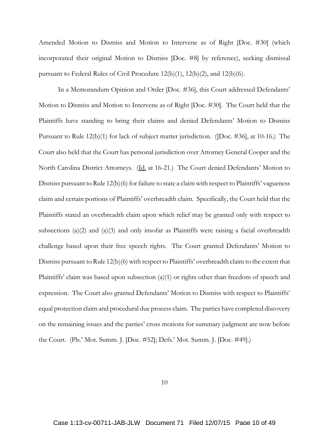Amended Motion to Dismiss and Motion to Intervene as of Right [Doc. #30] (which incorporated their original Motion to Dismiss [Doc. #8] by reference), seeking dismissal pursuant to Federal Rules of Civil Procedure 12(b)(1), 12(b)(2), and 12(b)(6).

In a Memorandum Opinion and Order [Doc. #36], this Court addressed Defendants' Motion to Dismiss and Motion to Intervene as of Right [Doc. #30]. The Court held that the Plaintiffs have standing to bring their claims and denied Defendants' Motion to Dismiss Pursuant to Rule 12(b)(1) for lack of subject matter jurisdiction. ([Doc. #36], at 10-16.) The Court also held that the Court has personal jurisdiction over Attorney General Cooper and the North Carolina District Attorneys. (Id. at 16-21.) The Court denied Defendants' Motion to Dismiss pursuant to Rule 12(b)(6) for failure to state a claim with respect to Plaintiffs' vagueness claim and certain portions of Plaintiffs' overbreadth claim. Specifically, the Court held that the Plaintiffs stated an overbreadth claim upon which relief may be granted only with respect to subsections (a)(2) and (a)(3) and only insofar as Plaintiffs were raising a facial overbreadth challenge based upon their free speech rights. The Court granted Defendants' Motion to Dismiss pursuant to Rule 12(b)(6) with respect to Plaintiffs' overbreadth claim to the extent that Plaintiffs' claim was based upon subsection  $(a)(1)$  or rights other than freedom of speech and expression. The Court also granted Defendants' Motion to Dismiss with respect to Plaintiffs' equal protection claim and procedural due process claim. The parties have completed discovery on the remaining issues and the parties' cross motions for summary judgment are now before the Court. (Pls.' Mot. Summ. J. [Doc. #52]; Defs.' Mot. Summ. J. [Doc. #49].)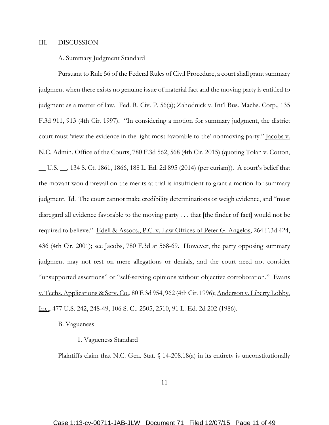## III. DISCUSSION

## A. Summary Judgment Standard

Pursuant to Rule 56 of the Federal Rules of Civil Procedure, a court shall grant summary judgment when there exists no genuine issue of material fact and the moving party is entitled to judgment as a matter of law. Fed. R. Civ. P. 56(a); Zahodnick v. Int'l Bus. Machs. Corp., 135 F.3d 911, 913 (4th Cir. 1997). "In considering a motion for summary judgment, the district court must 'view the evidence in the light most favorable to the' nonmoving party." Jacobs v. N.C. Admin. Office of the Courts, 780 F.3d 562, 568 (4th Cir. 2015) (quoting Tolan v. Cotton, \_\_ U.S. \_\_, 134 S. Ct. 1861, 1866, 188 L. Ed. 2d 895 (2014) (per curiam)). A court's belief that the movant would prevail on the merits at trial is insufficient to grant a motion for summary judgment. Id. The court cannot make credibility determinations or weigh evidence, and "must disregard all evidence favorable to the moving party . . . that [the finder of fact] would not be required to believe." Edell & Assocs., P.C. v. Law Offices of Peter G. Angelos, 264 F.3d 424, 436 (4th Cir. 2001); see Jacobs, 780 F.3d at 568-69. However, the party opposing summary judgment may not rest on mere allegations or denials, and the court need not consider "unsupported assertions" or "self-serving opinions without objective corroboration." Evans v. Techs. Applications & Serv. Co., 80 F.3d 954, 962 (4th Cir. 1996); Anderson v. Liberty Lobby, Inc., 477 U.S. 242, 248-49, 106 S. Ct. 2505, 2510, 91 L. Ed. 2d 202 (1986).

B. Vagueness

## 1. Vagueness Standard

Plaintiffs claim that N.C. Gen. Stat.  $\int$  14-208.18(a) in its entirety is unconstitutionally

11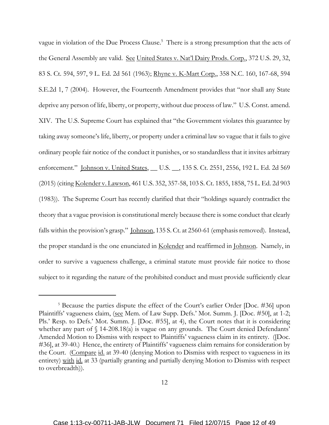vague in violation of the Due Process Clause.<sup>5</sup> There is a strong presumption that the acts of the General Assembly are valid. See United States v. Nat'l Dairy Prods. Corp., 372 U.S. 29, 32, 83 S. Ct. 594, 597, 9 L. Ed. 2d 561 (1963); Rhyne v. K-Mart Corp., 358 N.C. 160, 167-68, 594 S.E.2d 1, 7 (2004). However, the Fourteenth Amendment provides that "nor shall any State deprive any person of life, liberty, or property, without due process of law." U.S. Const. amend. XIV. The U.S. Supreme Court has explained that "the Government violates this guarantee by taking away someone's life, liberty, or property under a criminal law so vague that it fails to give ordinary people fair notice of the conduct it punishes, or so standardless that it invites arbitrary enforcement." *Johnson v. United States, \_\_ U.S. \_\_, 135 S. Ct. 2551, 2556, 192 L. Ed. 2d 569* (2015) (citing Kolender v. Lawson, 461 U.S. 352, 357-58, 103 S. Ct. 1855, 1858, 75 L. Ed. 2d 903 (1983)). The Supreme Court has recently clarified that their "holdings squarely contradict the theory that a vague provision is constitutional merely because there is some conduct that clearly falls within the provision's grasp." Johnson, 135 S. Ct. at 2560-61 (emphasis removed). Instead, the proper standard is the one enunciated in Kolender and reaffirmed in Johnson. Namely, in order to survive a vagueness challenge, a criminal statute must provide fair notice to those subject to it regarding the nature of the prohibited conduct and must provide sufficiently clear

<sup>&</sup>lt;sup>5</sup> Because the parties dispute the effect of the Court's earlier Order [Doc. #36] upon Plaintiffs' vagueness claim, (see Mem. of Law Supp. Defs.' Mot. Summ. J. [Doc. #50], at 1-2; Pls.' Resp. to Defs.' Mot. Summ. J. [Doc. #55], at 4), the Court notes that it is considering whether any part of § 14-208.18(a) is vague on any grounds. The Court denied Defendants' Amended Motion to Dismiss with respect to Plaintiffs' vagueness claim in its entirety. ([Doc. #36], at 39-40.) Hence, the entirety of Plaintiffs' vagueness claim remains for consideration by the Court. (Compare id. at 39-40 (denying Motion to Dismiss with respect to vagueness in its entirety) with id. at 33 (partially granting and partially denying Motion to Dismiss with respect to overbreadth)).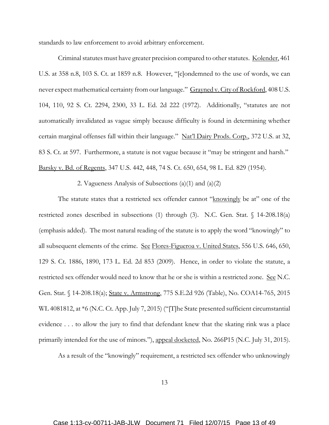standards to law enforcement to avoid arbitrary enforcement.

Criminal statutes must have greater precision compared to other statutes. Kolender, 461 U.S. at 358 n.8, 103 S. Ct. at 1859 n.8. However, "[c]ondemned to the use of words, we can never expect mathematical certainty from our language." Grayned v. City of Rockford, 408 U.S. 104, 110, 92 S. Ct. 2294, 2300, 33 L. Ed. 2d 222 (1972). Additionally, "statutes are not automatically invalidated as vague simply because difficulty is found in determining whether certain marginal offenses fall within their language." Nat'l Dairy Prods. Corp., 372 U.S. at 32, 83 S. Ct. at 597. Furthermore, a statute is not vague because it "may be stringent and harsh." Barsky v. Bd. of Regents, 347 U.S. 442, 448, 74 S. Ct. 650, 654, 98 L. Ed. 829 (1954).

2. Vagueness Analysis of Subsections (a)(1) and (a)(2)

The statute states that a restricted sex offender cannot "knowingly be at" one of the restricted zones described in subsections (1) through (3). N.C. Gen. Stat. § 14-208.18(a) (emphasis added). The most natural reading of the statute is to apply the word "knowingly" to all subsequent elements of the crime. See Flores-Figueroa v. United States, 556 U.S. 646, 650, 129 S. Ct. 1886, 1890, 173 L. Ed. 2d 853 (2009). Hence, in order to violate the statute, a restricted sex offender would need to know that he or she is within a restricted zone. See N.C. Gen. Stat. § 14-208.18(a); State v. Armstrong, 775 S.E.2d 926 (Table), No. COA14-765, 2015 WL 4081812, at \*6 (N.C. Ct. App. July 7, 2015) ("[T]he State presented sufficient circumstantial evidence . . . to allow the jury to find that defendant knew that the skating rink was a place primarily intended for the use of minors."), appeal docketed, No. 266P15 (N.C. July 31, 2015).

As a result of the "knowingly" requirement, a restricted sex offender who unknowingly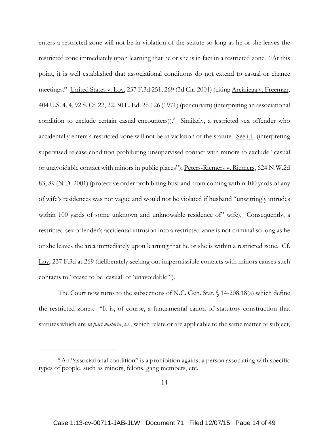enters a restricted zone will not be in violation of the statute so long as he or she leaves the restricted zone immediately upon learning that he or she is in fact in a restricted zone. "At this point, it is well established that associational conditions do not extend to casual or chance meetings." United States v. Lov, 237 F.3d 251, 269 (3d Cir. 2001) (citing Arciniega v. Freeman, 404 U.S. 4, 4, 92 S. Ct. 22, 22, 30 L. Ed. 2d 126 (1971) (per curiam) (interpreting an associational condition to exclude certain casual encounters)).<sup>6</sup> Similarly, a restricted sex offender who accidentally enters a restricted zone will not be in violation of the statute. See id. (interpreting supervised release condition prohibiting unsupervised contact with minors to exclude "casual or unavoidable contact with minors in public places"); Peters-Riemers v. Riemers, 624 N.W.2d 83, 89 (N.D. 2001) (protective order prohibiting husband from coming within 100 yards of any of wife's residences was not vague and would not be violated if husband "unwittingly intrudes within 100 yards of some unknown and unknowable residence of wife). Consequently, a restricted sex offender's accidental intrusion into a restricted zone is not criminal so long as he or she leaves the area immediately upon learning that he or she is within a restricted zone. Cf. Loy, 237 F.3d at 269 (deliberately seeking out impermissible contacts with minors causes such contacts to "cease to be 'casual' or 'unavoidable'").

The Court now turns to the subsections of N.C. Gen. Stat. § 14-208.18(a) which define the restricted zones. "It is, of course, a fundamental canon of statutory construction that statutes which are *in pari materia*, *i.e.*, which relate or are applicable to the same matter or subject,

<sup>&</sup>lt;sup>6</sup> An "associational condition" is a prohibition against a person associating with specific types of people, such as minors, felons, gang members, etc.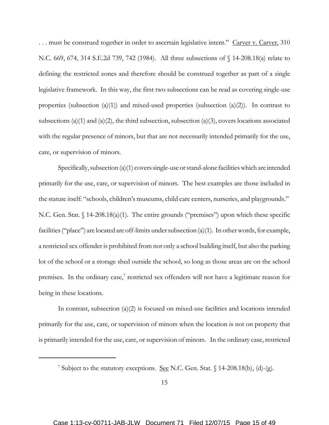... must be construed together in order to ascertain legislative intent." Carver v. Carver, 310 N.C. 669, 674, 314 S.E.2d 739, 742 (1984). All three subsections of § 14-208.18(a) relate to defining the restricted zones and therefore should be construed together as part of a single legislative framework. In this way, the first two subsections can be read as covering single-use properties (subsection  $(a)(1)$ ) and mixed-used properties (subsection  $(a)(2)$ ). In contrast to subsections (a)(1) and (a)(2), the third subsection, subsection (a)(3), covers locations associated with the regular presence of minors, but that are not necessarily intended primarily for the use, care, or supervision of minors.

Specifically, subsection (a)(1) covers single-use or stand-alone facilities which are intended primarily for the use, care, or supervision of minors. The best examples are those included in the statute itself: "schools, children's museums, child care centers, nurseries, and playgrounds." N.C. Gen. Stat. § 14-208.18(a)(1). The entire grounds ("premises") upon which these specific facilities ("place") are located are off-limits under subsection (a)(1). In other words, for example, a restricted sex offender is prohibited from not only a school building itself, but also the parking lot of the school or a storage shed outside the school, so long as those areas are on the school premises. In the ordinary case,<sup>7</sup> restricted sex offenders will not have a legitimate reason for being in these locations.

In contrast, subsection  $(a)(2)$  is focused on mixed-use facilities and locations intended primarily for the use, care, or supervision of minors when the location is not on property that is primarily intended for the use, care, or supervision of minors. In the ordinary case, restricted

<sup>&</sup>lt;sup>7</sup> Subject to the statutory exceptions. See N.C. Gen. Stat. § 14-208.18(b), (d)-(g).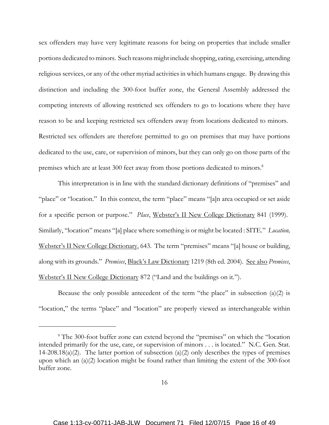sex offenders may have very legitimate reasons for being on properties that include smaller portions dedicated to minors. Such reasons might include shopping, eating, exercising, attending religious services, or any of the other myriad activities in which humans engage. By drawing this distinction and including the 300-foot buffer zone, the General Assembly addressed the competing interests of allowing restricted sex offenders to go to locations where they have reason to be and keeping restricted sex offenders away from locations dedicated to minors. Restricted sex offenders are therefore permitted to go on premises that may have portions dedicated to the use, care, or supervision of minors, but they can only go on those parts of the premises which are at least 300 feet away from those portions dedicated to minors.<sup>8</sup>

This interpretation is in line with the standard dictionary definitions of "premises" and "place" or "location." In this context, the term "place" means "[a]n area occupied or set aside for a specific person or purpose." *Place*, Webster's II New College Dictionary 841 (1999). Similarly, "location" means "[a] place where something is or might be located : SITE." *Location,* Webster's II New College Dictionary, 643. The term "premises" means "[a] house or building, along with its grounds." *Premises*, Black's Law Dictionary 1219 (8th ed. 2004). See also *Premises*, Webster's II New College Dictionary 872 ("Land and the buildings on it.").

Because the only possible antecedent of the term "the place" in subsection  $(a)(2)$  is "location," the terms "place" and "location" are properly viewed as interchangeable within

<sup>&</sup>lt;sup>8</sup> The 300-foot buffer zone can extend beyond the "premises" on which the "location intended primarily for the use, care, or supervision of minors . . . is located." N.C. Gen. Stat. 14-208.18(a)(2). The latter portion of subsection (a)(2) only describes the types of premises upon which an (a)(2) location might be found rather than limiting the extent of the 300-foot buffer zone.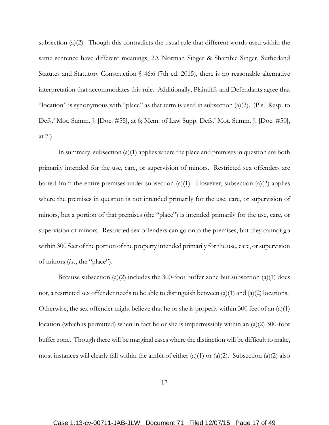subsection (a)(2). Though this contradicts the usual rule that different words used within the same sentence have different meanings, 2A Norman Singer & Shambie Singer, Sutherland Statutes and Statutory Construction § 46:6 (7th ed. 2015), there is no reasonable alternative interpretation that accommodates this rule. Additionally, Plaintiffs and Defendants agree that "location" is synonymous with "place" as that term is used in subsection (a)(2). (Pls.' Resp. to Defs.' Mot. Summ. J. [Doc. #55], at 6; Mem. of Law Supp. Defs.' Mot. Summ. J. [Doc. #50], at 7.)

In summary, subsection (a)(1) applies where the place and premises in question are both primarily intended for the use, care, or supervision of minors. Restricted sex offenders are barred from the entire premises under subsection  $(a)(1)$ . However, subsection  $(a)(2)$  applies where the premises in question is not intended primarily for the use, care, or supervision of minors, but a portion of that premises (the "place") is intended primarily for the use, care, or supervision of minors. Restricted sex offenders can go onto the premises, but they cannot go within 300 feet of the portion of the property intended primarily for the use, care, or supervision of minors (*i.e.*, the "place").

Because subsection (a)(2) includes the 300-foot buffer zone but subsection (a)(1) does not, a restricted sex offender needs to be able to distinguish between  $(a)(1)$  and  $(a)(2)$  locations. Otherwise, the sex offender might believe that he or she is properly within 300 feet of an  $(a)(1)$ location (which is permitted) when in fact he or she is impermissibly within an (a)(2) 300-foot buffer zone. Though there will be marginal cases where the distinction will be difficult to make, most instances will clearly fall within the ambit of either  $(a)(1)$  or  $(a)(2)$ . Subsection  $(a)(2)$  also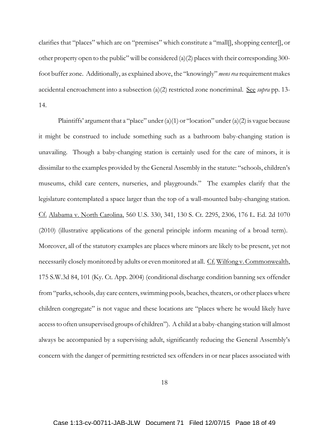clarifies that "places" which are on "premises" which constitute a "mall[], shopping center[], or other property open to the public" will be considered  $(a)(2)$  places with their corresponding 300foot buffer zone. Additionally, as explained above, the "knowingly" *mens rea* requirement makes accidental encroachment into a subsection (a)(2) restricted zone noncriminal. See *supra* pp. 13- 14.

Plaintiffs' argument that a "place" under  $(a)(1)$  or "location" under  $(a)(2)$  is vague because it might be construed to include something such as a bathroom baby-changing station is unavailing. Though a baby-changing station is certainly used for the care of minors, it is dissimilar to the examples provided by the General Assembly in the statute: "schools, children's museums, child care centers, nurseries, and playgrounds." The examples clarify that the legislature contemplated a space larger than the top of a wall-mounted baby-changing station. Cf. Alabama v. North Carolina, 560 U.S. 330, 341, 130 S. Ct. 2295, 2306, 176 L. Ed. 2d 1070 (2010) (illustrative applications of the general principle inform meaning of a broad term). Moreover, all of the statutory examples are places where minors are likely to be present, yet not necessarily closely monitored by adults or even monitored at all. Cf. Wilfong v. Commonwealth, 175 S.W.3d 84, 101 (Ky. Ct. App. 2004) (conditional discharge condition banning sex offender from "parks, schools, day care centers, swimming pools, beaches, theaters, or other places where children congregate" is not vague and these locations are "places where he would likely have access to often unsupervised groups of children"). A child at a baby-changing station will almost always be accompanied by a supervising adult, significantly reducing the General Assembly's concern with the danger of permitting restricted sex offenders in or near places associated with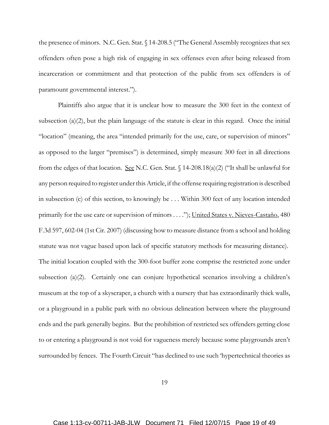the presence of minors. N.C. Gen. Stat. § 14-208.5 ("The General Assembly recognizes that sex offenders often pose a high risk of engaging in sex offenses even after being released from incarceration or commitment and that protection of the public from sex offenders is of paramount governmental interest.").

Plaintiffs also argue that it is unclear how to measure the 300 feet in the context of subsection (a)(2), but the plain language of the statute is clear in this regard. Once the initial "location" (meaning, the area "intended primarily for the use, care, or supervision of minors" as opposed to the larger "premises") is determined, simply measure 300 feet in all directions from the edges of that location. See N.C. Gen. Stat.  $\int$  14-208.18(a)(2) ("It shall be unlawful for any person required to register under this Article, if the offense requiring registration is described in subsection (c) of this section, to knowingly be . . . Within 300 feet of any location intended primarily for the use care or supervision of minors . . . ."); United States v. Nieves-Castaño, 480 F.3d 597, 602-04 (1st Cir. 2007) (discussing how to measure distance from a school and holding statute was not vague based upon lack of specific statutory methods for measuring distance). The initial location coupled with the 300-foot buffer zone comprise the restricted zone under subsection (a)(2). Certainly one can conjure hypothetical scenarios involving a children's museum at the top of a skyscraper, a church with a nursery that has extraordinarily thick walls, or a playground in a public park with no obvious delineation between where the playground ends and the park generally begins. But the prohibition of restricted sex offenders getting close to or entering a playground is not void for vagueness merely because some playgrounds aren't surrounded by fences. The Fourth Circuit "has declined to use such 'hypertechnical theories as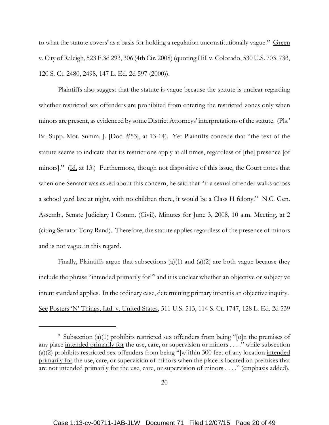to what the statute covers' as a basis for holding a regulation unconstitutionally vague." Green v. City of Raleigh, 523 F.3d 293, 306 (4th Cir. 2008) (quoting Hill v. Colorado, 530 U.S. 703, 733, 120 S. Ct. 2480, 2498, 147 L. Ed. 2d 597 (2000)).

Plaintiffs also suggest that the statute is vague because the statute is unclear regarding whether restricted sex offenders are prohibited from entering the restricted zones only when minors are present, as evidenced by some District Attorneys' interpretations of the statute. (Pls.' Br. Supp. Mot. Summ. J. [Doc. #53], at 13-14). Yet Plaintiffs concede that "the text of the statute seems to indicate that its restrictions apply at all times, regardless of [the] presence [of minors]." (Id. at 13.) Furthermore, though not dispositive of this issue, the Court notes that when one Senator was asked about this concern, he said that "if a sexual offender walks across a school yard late at night, with no children there, it would be a Class H felony." N.C. Gen. Assemb., Senate Judiciary I Comm. (Civil), Minutes for June 3, 2008, 10 a.m. Meeting, at 2 (citing Senator Tony Rand). Therefore, the statute applies regardless of the presence of minors and is not vague in this regard.

Finally, Plaintiffs argue that subsections  $(a)(1)$  and  $(a)(2)$  are both vague because they include the phrase "intended primarily for"9 and it is unclear whether an objective or subjective intent standard applies. In the ordinary case, determining primary intent is an objective inquiry. See Posters 'N' Things, Ltd. v. United States, 511 U.S. 513, 114 S. Ct. 1747, 128 L. Ed. 2d 539

<sup>9</sup> Subsection (a)(1) prohibits restricted sex offenders from being "[o]n the premises of any place intended primarily for the use, care, or supervision or minors . . . ." while subsection (a)(2) prohibits restricted sex offenders from being "[w]ithin 300 feet of any location intended primarily for the use, care, or supervision of minors when the place is located on premises that are not <u>intended primarily for</u> the use, care, or supervision of minors . . . ." (emphasis added).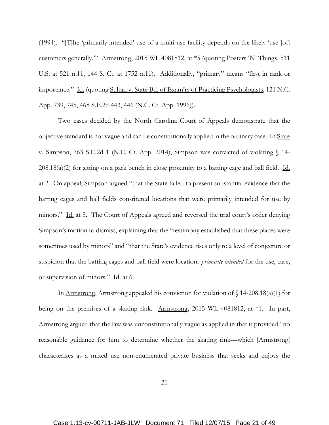(1994). "[T]he 'primarily intended' use of a multi-use facility depends on the likely 'use [of] customers generally.'" Armstrong, 2015 WL 4081812, at \*5 (quoting Posters 'N' Things, 511 U.S. at 521 n.11, 144 S. Ct. at 1752 n.11). Additionally, "primary" means "first in rank or importance." Id. (quoting Sultan v. State Bd. of Exam'rs of Practicing Psychologists, 121 N.C. App. 739, 745, 468 S.E.2d 443, 446 (N.C. Ct. App. 1996)).

Two cases decided by the North Carolina Court of Appeals demonstrate that the objective standard is not vague and can be constitutionally applied in the ordinary case. In State v. Simpson, 763 S.E.2d 1 (N.C. Ct. App. 2014), Simpson was convicted of violating § 14-  $208.18(a)(2)$  for sitting on a park bench in close proximity to a batting cage and ball field. Id. at 2. On appeal, Simpson argued "that the State failed to present substantial evidence that the batting cages and ball fields constituted locations that were primarily intended for use by minors." Id. at 5. The Court of Appeals agreed and reversed the trial court's order denying Simpson's motion to dismiss, explaining that the "testimony established that these places were sometimes used by minors" and "that the State's evidence rises only to a level of conjecture or suspicion that the batting cages and ball field were locations *primarily intended* for the use, case, or supervision of minors." Id. at 6.

In Armstrong, Armstrong appealed his conviction for violation of  $\int$  14-208.18(a)(1) for being on the premises of a skating rink. Armstrong, 2015 WL 4081812, at \*1. In part, Armstrong argued that the law was unconstitutionally vague as applied in that it provided "no reasonable guidance for him to determine whether the skating rink—which [Armstrong] characterizes as a mixed use non-enumerated private business that seeks and enjoys the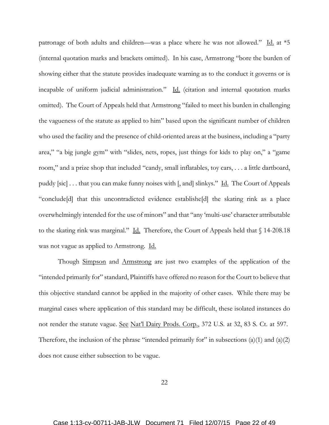patronage of both adults and children—was a place where he was not allowed." Id. at  $*5$ (internal quotation marks and brackets omitted). In his case, Armstrong "bore the burden of showing either that the statute provides inadequate warning as to the conduct it governs or is incapable of uniform judicial administration." Id. (citation and internal quotation marks omitted). The Court of Appeals held that Armstrong "failed to meet his burden in challenging the vagueness of the statute as applied to him" based upon the significant number of children who used the facility and the presence of child-oriented areas at the business, including a "party area," "a big jungle gym" with "slides, nets, ropes, just things for kids to play on," a "game room," and a prize shop that included "candy, small inflatables, toy cars, . . . a little dartboard, puddy [sic] . . . that you can make funny noises with [, and] slinkys." Id. The Court of Appeals "conclude[d] that this uncontradicted evidence establishe[d] the skating rink as a place overwhelmingly intended for the use of minors" and that "any 'multi-use' character attributable to the skating rink was marginal." Id. Therefore, the Court of Appeals held that  $\sqrt{14-208.18}$ was not vague as applied to Armstrong. Id.

Though Simpson and Armstrong are just two examples of the application of the "intended primarily for" standard, Plaintiffs have offered no reason for the Court to believe that this objective standard cannot be applied in the majority of other cases. While there may be marginal cases where application of this standard may be difficult, these isolated instances do not render the statute vague. See Nat'l Dairy Prods. Corp., 372 U.S. at 32, 83 S. Ct. at 597. Therefore, the inclusion of the phrase "intended primarily for" in subsections  $(a)(1)$  and  $(a)(2)$ does not cause either subsection to be vague.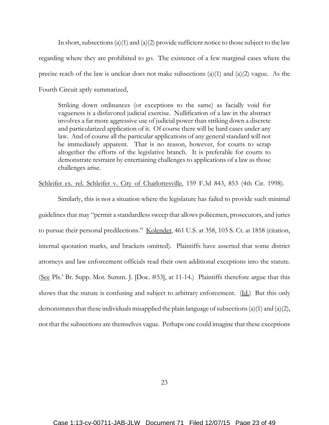In short, subsections (a)(1) and (a)(2) provide sufficient notice to those subject to the law regarding where they are prohibited to go. The existence of a few marginal cases where the precise reach of the law is unclear does not make subsections (a)(1) and (a)(2) vague. As the Fourth Circuit aptly summarized,

Striking down ordinances (or exceptions to the same) as facially void for vagueness is a disfavored judicial exercise. Nullification of a law in the abstract involves a far more aggressive use of judicial power than striking down a discrete and particularized application of it. Of course there will be hard cases under any law. And of course all the particular applications of any general standard will not be immediately apparent. That is no reason, however, for courts to scrap altogether the efforts of the legislative branch. It is preferable for courts to demonstrate restraint by entertaining challenges to applications of a law as those challenges arise.

Schleifer ex. rel. Schleifer v. City of Charlottesville, 159 F.3d 843, 853 (4th Cir. 1998).

Similarly, this is not a situation where the legislature has failed to provide such minimal guidelines that may "permit a standardless sweep that allows policemen, prosecutors, and juries to pursue their personal predilections." Kolender, 461 U.S. at 358, 103 S. Ct. at 1858 (citation, internal quotation marks, and brackets omitted). Plaintiffs have asserted that some district attorneys and law enforcement officials read their own additional exceptions into the statute. (See Pls.' Br. Supp. Mot. Summ. J. [Doc. #53], at 11-14.) Plaintiffs therefore argue that this shows that the statute is confusing and subject to arbitrary enforcement. (Id.) But this only demonstrates that these individuals misapplied the plain language of subsections (a)(1) and (a)(2), not that the subsections are themselves vague. Perhaps one could imagine that these exceptions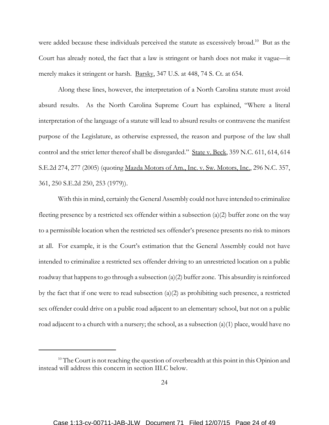were added because these individuals perceived the statute as excessively broad.<sup>10</sup> But as the Court has already noted, the fact that a law is stringent or harsh does not make it vague—it merely makes it stringent or harsh. Barsky, 347 U.S. at 448, 74 S. Ct. at 654.

Along these lines, however, the interpretation of a North Carolina statute must avoid absurd results. As the North Carolina Supreme Court has explained, "Where a literal interpretation of the language of a statute will lead to absurd results or contravene the manifest purpose of the Legislature, as otherwise expressed, the reason and purpose of the law shall control and the strict letter thereof shall be disregarded." State v. Beck, 359 N.C. 611, 614, 614 S.E.2d 274, 277 (2005) (quoting Mazda Motors of Am., Inc. v. Sw. Motors, Inc., 296 N.C. 357, 361, 250 S.E.2d 250, 253 (1979)).

With this in mind, certainly the General Assembly could not have intended to criminalize fleeting presence by a restricted sex offender within a subsection (a)(2) buffer zone on the way to a permissible location when the restricted sex offender's presence presents no risk to minors at all. For example, it is the Court's estimation that the General Assembly could not have intended to criminalize a restricted sex offender driving to an unrestricted location on a public roadway that happens to go through a subsection  $(a)(2)$  buffer zone. This absurdity is reinforced by the fact that if one were to read subsection  $(a)(2)$  as prohibiting such presence, a restricted sex offender could drive on a public road adjacent to an elementary school, but not on a public road adjacent to a church with a nursery; the school, as a subsection  $(a)(1)$  place, would have no

<sup>&</sup>lt;sup>10</sup> The Court is not reaching the question of overbreadth at this point in this Opinion and instead will address this concern in section III.C below.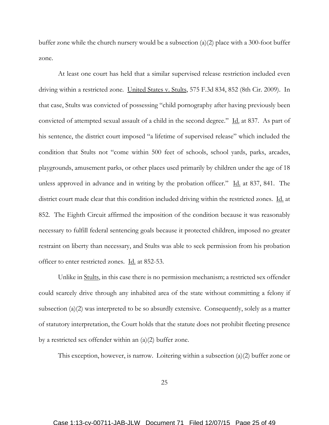buffer zone while the church nursery would be a subsection (a)(2) place with a 300-foot buffer zone.

At least one court has held that a similar supervised release restriction included even driving within a restricted zone. United States v. Stults, 575 F.3d 834, 852 (8th Cir. 2009). In that case, Stults was convicted of possessing "child pornography after having previously been convicted of attempted sexual assault of a child in the second degree." Id. at 837. As part of his sentence, the district court imposed "a lifetime of supervised release" which included the condition that Stults not "come within 500 feet of schools, school yards, parks, arcades, playgrounds, amusement parks, or other places used primarily by children under the age of 18 unless approved in advance and in writing by the probation officer." Id. at 837, 841. The district court made clear that this condition included driving within the restricted zones. Id. at 852. The Eighth Circuit affirmed the imposition of the condition because it was reasonably necessary to fulfill federal sentencing goals because it protected children, imposed no greater restraint on liberty than necessary, and Stults was able to seek permission from his probation officer to enter restricted zones. Id. at 852-53.

Unlike in Stults, in this case there is no permission mechanism; a restricted sex offender could scarcely drive through any inhabited area of the state without committing a felony if subsection  $(a)(2)$  was interpreted to be so absurdly extensive. Consequently, solely as a matter of statutory interpretation, the Court holds that the statute does not prohibit fleeting presence by a restricted sex offender within an  $(a)(2)$  buffer zone.

This exception, however, is narrow. Loitering within a subsection (a)(2) buffer zone or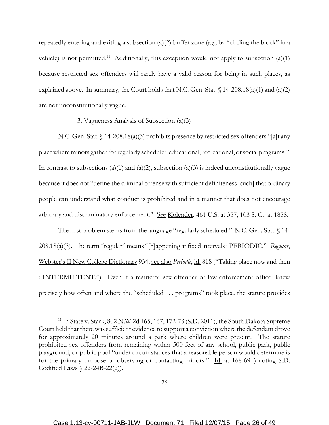repeatedly entering and exiting a subsection (a)(2) buffer zone (*e.g.*, by "circling the block" in a vehicle) is not permitted.<sup>11</sup> Additionally, this exception would not apply to subsection (a)(1) because restricted sex offenders will rarely have a valid reason for being in such places, as explained above. In summary, the Court holds that N.C. Gen. Stat.  $\int$  14-208.18(a)(1) and (a)(2) are not unconstitutionally vague.

3. Vagueness Analysis of Subsection (a)(3)

N.C. Gen. Stat. § 14-208.18(a)(3) prohibits presence by restricted sex offenders "[a]t any place where minors gather for regularly scheduled educational, recreational, or social programs." In contrast to subsections (a)(1) and (a)(2), subsection (a)(3) is indeed unconstitutionally vague because it does not "define the criminal offense with sufficient definiteness [such] that ordinary people can understand what conduct is prohibited and in a manner that does not encourage arbitrary and discriminatory enforcement." See Kolender, 461 U.S. at 357, 103 S. Ct. at 1858.

The first problem stems from the language "regularly scheduled." N.C. Gen. Stat. § 14-208.18(a)(3). The term "regular" means "[h]appening at fixed intervals : PERIODIC." *Regular*, Webster's II New College Dictionary 934; see also *Periodic*, id. 818 ("Taking place now and then : INTERMITTENT."). Even if a restricted sex offender or law enforcement officer knew precisely how often and where the "scheduled . . . programs" took place, the statute provides

<sup>&</sup>lt;sup>11</sup> In State v. Stark, 802 N.W.2d 165, 167, 172-73 (S.D. 2011), the South Dakota Supreme Court held that there was sufficient evidence to support a conviction where the defendant drove for approximately 20 minutes around a park where children were present. The statute prohibited sex offenders from remaining within 500 feet of any school, public park, public playground, or public pool "under circumstances that a reasonable person would determine is for the primary purpose of observing or contacting minors." Id. at 168-69 (quoting S.D. Codified Laws  $\binom{22-24B-22(2)}{2}$ .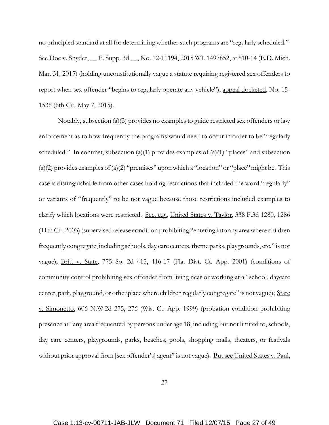no principled standard at all for determining whether such programs are "regularly scheduled." See <u>Doe v. Snyder</u>, F. Supp. 3d , No. 12-11194, 2015 WL 1497852, at \*10-14 (E.D. Mich.) Mar. 31, 2015) (holding unconstitutionally vague a statute requiring registered sex offenders to report when sex offender "begins to regularly operate any vehicle"), appeal docketed, No. 15-1536 (6th Cir. May 7, 2015).

Notably, subsection (a)(3) provides no examples to guide restricted sex offenders or law enforcement as to how frequently the programs would need to occur in order to be "regularly scheduled." In contrast, subsection (a)(1) provides examples of (a)(1) "places" and subsection  $(a)(2)$  provides examples of  $(a)(2)$  "premises" upon which a "location" or "place" might be. This case is distinguishable from other cases holding restrictions that included the word "regularly" or variants of "frequently" to be not vague because those restrictions included examples to clarify which locations were restricted. See, e.g., United States v. Taylor, 338 F.3d 1280, 1286 (11th Cir. 2003) (supervised release condition prohibiting "entering into any area where children frequently congregate, including schools, day care centers, theme parks, playgrounds, etc." is not vague); Britt v. State, 775 So. 2d 415, 416-17 (Fla. Dist. Ct. App. 2001) (conditions of community control prohibiting sex offender from living near or working at a "school, daycare center, park, playground, or other place where children regularly congregate" is not vague); State v. Simonetto, 606 N.W.2d 275, 276 (Wis. Ct. App. 1999) (probation condition prohibiting presence at "any area frequented by persons under age 18, including but not limited to, schools, day care centers, playgrounds, parks, beaches, pools, shopping malls, theaters, or festivals without prior approval from [sex offender's] agent" is not vague). But see United States v. Paul,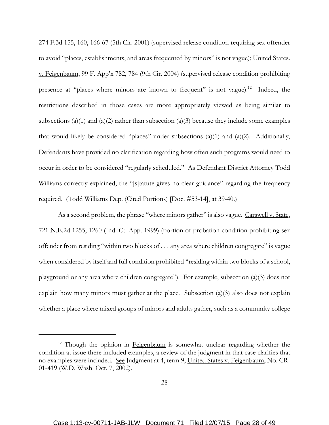274 F.3d 155, 160, 166-67 (5th Cir. 2001) (supervised release condition requiring sex offender to avoid "places, establishments, and areas frequented by minors" is not vague); United States. v. Feigenbaum, 99 F. App'x 782, 784 (9th Cir. 2004) (supervised release condition prohibiting presence at "places where minors are known to frequent" is not vague).<sup>12</sup> Indeed, the restrictions described in those cases are more appropriately viewed as being similar to subsections (a)(1) and (a)(2) rather than subsection (a)(3) because they include some examples that would likely be considered "places" under subsections (a)(1) and (a)(2). Additionally, Defendants have provided no clarification regarding how often such programs would need to occur in order to be considered "regularly scheduled." As Defendant District Attorney Todd Williams correctly explained, the "[s]tatute gives no clear guidance" regarding the frequency required. (Todd Williams Dep. (Cited Portions) [Doc. #53-14], at 39-40.)

As a second problem, the phrase "where minors gather" is also vague. Carswell v. State, 721 N.E.2d 1255, 1260 (Ind. Ct. App. 1999) (portion of probation condition prohibiting sex offender from residing "within two blocks of . . . any area where children congregate" is vague when considered by itself and full condition prohibited "residing within two blocks of a school, playground or any area where children congregate"). For example, subsection (a)(3) does not explain how many minors must gather at the place. Subsection (a)(3) also does not explain whether a place where mixed groups of minors and adults gather, such as a community college

<sup>&</sup>lt;sup>12</sup> Though the opinion in Feigenbaum is somewhat unclear regarding whether the condition at issue there included examples, a review of the judgment in that case clarifies that no examples were included. See Judgment at 4, term 9, United States v. Feigenbaum, No. CR-01-419 (W.D. Wash. Oct. 7, 2002).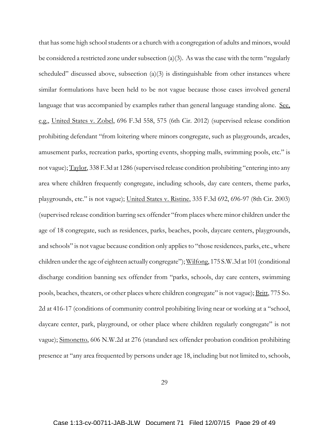that has some high school students or a church with a congregation of adults and minors, would be considered a restricted zone under subsection (a)(3). As was the case with the term "regularly scheduled" discussed above, subsection  $(a)(3)$  is distinguishable from other instances where similar formulations have been held to be not vague because those cases involved general language that was accompanied by examples rather than general language standing alone. See, e.g., United States v. Zobel, 696 F.3d 558, 575 (6th Cir. 2012) (supervised release condition prohibiting defendant "from loitering where minors congregate, such as playgrounds, arcades, amusement parks, recreation parks, sporting events, shopping malls, swimming pools, etc." is not vague); Taylor, 338 F.3d at 1286 (supervised release condition prohibiting "entering into any area where children frequently congregate, including schools, day care centers, theme parks, playgrounds, etc." is not vague); United States v. Ristine, 335 F.3d 692, 696-97 (8th Cir. 2003) (supervised release condition barring sex offender "from places where minor children under the age of 18 congregate, such as residences, parks, beaches, pools, daycare centers, playgrounds, and schools" is not vague because condition only applies to "those residences, parks, etc., where children under the age of eighteen actually congregate"); Wilfong, 175 S.W.3d at 101 (conditional discharge condition banning sex offender from "parks, schools, day care centers, swimming pools, beaches, theaters, or other places where children congregate" is not vague); Britt, 775 So. 2d at 416-17 (conditions of community control prohibiting living near or working at a "school, daycare center, park, playground, or other place where children regularly congregate" is not vague); Simonetto, 606 N.W.2d at 276 (standard sex offender probation condition prohibiting presence at "any area frequented by persons under age 18, including but not limited to, schools,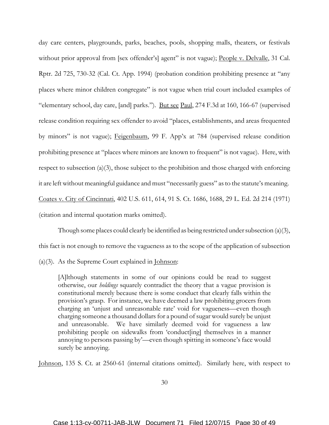day care centers, playgrounds, parks, beaches, pools, shopping malls, theaters, or festivals without prior approval from [sex offender's] agent" is not vague); People v. Delvalle, 31 Cal. Rptr. 2d 725, 730-32 (Cal. Ct. App. 1994) (probation condition prohibiting presence at "any places where minor children congregate" is not vague when trial court included examples of "elementary school, day care, [and] parks."). But see Paul,  $274$  F.3d at  $160$ ,  $166-67$  (supervised release condition requiring sex offender to avoid "places, establishments, and areas frequented by minors" is not vague); Feigenbaum, 99 F. App'x at 784 (supervised release condition prohibiting presence at "places where minors are known to frequent" is not vague). Here, with respect to subsection (a)(3), those subject to the prohibition and those charged with enforcing it are left without meaningful guidance and must "necessarily guess" as to the statute's meaning. Coates v. City of Cincinnati, 402 U.S. 611, 614, 91 S. Ct. 1686, 1688, 29 L. Ed. 2d 214 (1971) (citation and internal quotation marks omitted).

Though some places could clearly be identified as being restricted under subsection (a)(3), this fact is not enough to remove the vagueness as to the scope of the application of subsection  $(a)(3)$ . As the Supreme Court explained in <u>Johnson</u>:

[A]lthough statements in some of our opinions could be read to suggest otherwise, our *holdings* squarely contradict the theory that a vague provision is constitutional merely because there is some conduct that clearly falls within the provision's grasp. For instance, we have deemed a law prohibiting grocers from charging an 'unjust and unreasonable rate' void for vagueness—even though charging someone a thousand dollars for a pound of sugar would surely be unjust and unreasonable. We have similarly deemed void for vagueness a law prohibiting people on sidewalks from 'conduct[ing] themselves in a manner annoying to persons passing by'—even though spitting in someone's face would surely be annoying.

Johnson, 135 S. Ct. at 2560-61 (internal citations omitted). Similarly here, with respect to

30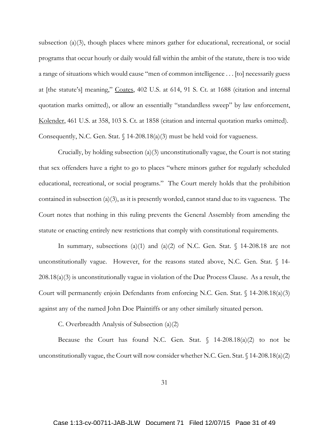subsection (a)(3), though places where minors gather for educational, recreational, or social programs that occur hourly or daily would fall within the ambit of the statute, there is too wide a range of situations which would cause "men of common intelligence . . . [to] necessarily guess at [the statute's] meaning," Coates, 402 U.S. at 614, 91 S. Ct. at 1688 (citation and internal quotation marks omitted), or allow an essentially "standardless sweep" by law enforcement, Kolender, 461 U.S. at 358, 103 S. Ct. at 1858 (citation and internal quotation marks omitted). Consequently, N.C. Gen. Stat.  $\int 14-208.18(a)(3)$  must be held void for vagueness.

Crucially, by holding subsection (a)(3) unconstitutionally vague, the Court is not stating that sex offenders have a right to go to places "where minors gather for regularly scheduled educational, recreational, or social programs." The Court merely holds that the prohibition contained in subsection  $(a)(3)$ , as it is presently worded, cannot stand due to its vagueness. The Court notes that nothing in this ruling prevents the General Assembly from amending the statute or enacting entirely new restrictions that comply with constitutional requirements.

In summary, subsections (a)(1) and (a)(2) of N.C. Gen. Stat.  $\oint$  14-208.18 are not unconstitutionally vague. However, for the reasons stated above, N.C. Gen. Stat.  $\S$  14-208.18(a)(3) is unconstitutionally vague in violation of the Due Process Clause. As a result, the Court will permanently enjoin Defendants from enforcing N.C. Gen. Stat. § 14-208.18(a)(3) against any of the named John Doe Plaintiffs or any other similarly situated person.

C. Overbreadth Analysis of Subsection (a)(2)

Because the Court has found N.C. Gen. Stat.  $\int$  14-208.18(a)(2) to not be unconstitutionally vague, the Court will now consider whether N.C. Gen. Stat.  $\{\frac{14-208.18(a)}{2}\}$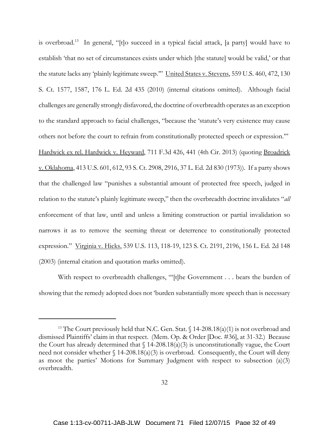is overbroad.13 In general, "[t]o succeed in a typical facial attack, [a party] would have to establish 'that no set of circumstances exists under which [the statute] would be valid,' or that the statute lacks any 'plainly legitimate sweep.'" United States v. Stevens, 559 U.S. 460, 472, 130 S. Ct. 1577, 1587, 176 L. Ed. 2d 435 (2010) (internal citations omitted). Although facial challenges are generally strongly disfavored, the doctrine of overbreadth operates as an exception to the standard approach to facial challenges, "because the 'statute's very existence may cause others not before the court to refrain from constitutionally protected speech or expression.'" Hardwick ex rel. Hardwick v. Heyward, 711 F.3d 426, 441 (4th Cir. 2013) (quoting Broadrick v. Oklahoma, 413 U.S. 601, 612, 93 S. Ct. 2908, 2916, 37 L. Ed. 2d 830 (1973)). If a party shows that the challenged law "punishes a substantial amount of protected free speech, judged in relation to the statute's plainly legitimate sweep," then the overbreadth doctrine invalidates "*all* enforcement of that law, until and unless a limiting construction or partial invalidation so narrows it as to remove the seeming threat or deterrence to constitutionally protected expression." Virginia v. Hicks, 539 U.S. 113, 118-19, 123 S. Ct. 2191, 2196, 156 L. Ed. 2d 148 (2003) (internal citation and quotation marks omitted).

With respect to overbreadth challenges, "'[t]he Government . . . bears the burden of showing that the remedy adopted does not 'burden substantially more speech than is necessary

<sup>&</sup>lt;sup>13</sup> The Court previously held that N.C. Gen. Stat.  $\sqrt{14-208.18(a)(1)}$  is not overbroad and dismissed Plaintiffs' claim in that respect. (Mem. Op. & Order [Doc. #36], at 31-32.) Because the Court has already determined that  $\int$  14-208.18(a)(3) is unconstitutionally vague, the Court need not consider whether  $\int$  14-208.18(a)(3) is overbroad. Consequently, the Court will deny as moot the parties' Motions for Summary Judgment with respect to subsection (a)(3) overbreadth.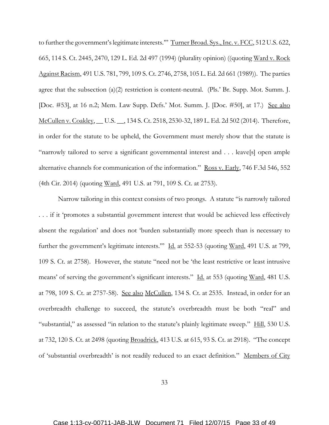to further the government's legitimate interests." Turner Broad. Sys., Inc. v. FCC, 512 U.S. 622, 665, 114 S. Ct. 2445, 2470, 129 L. Ed. 2d 497 (1994) (plurality opinion) ((quoting Ward v. Rock Against Racism, 491 U.S. 781, 799, 109 S. Ct. 2746, 2758, 105 L. Ed. 2d 661 (1989)). The parties agree that the subsection (a)(2) restriction is content-neutral. (Pls.' Br. Supp. Mot. Summ. J. [Doc. #53], at 16 n.2; Mem. Law Supp. Defs.' Mot. Summ. J. [Doc. #50], at 17.) See also McCullen v. Coakley, \_\_ U.S. \_\_, 134 S. Ct. 2518, 2530-32, 189 L. Ed. 2d 502 (2014). Therefore, in order for the statute to be upheld, the Government must merely show that the statute is "narrowly tailored to serve a significant governmental interest and . . . leave[s] open ample alternative channels for communication of the information." Ross v. Early, 746 F.3d 546, 552 (4th Cir. 2014) (quoting Ward, 491 U.S. at 791, 109 S. Ct. at 2753).

Narrow tailoring in this context consists of two prongs. A statute "is narrowly tailored . . . if it 'promotes a substantial government interest that would be achieved less effectively absent the regulation' and does not 'burden substantially more speech than is necessary to further the government's legitimate interests." Id. at 552-53 (quoting Ward, 491 U.S. at 799, 109 S. Ct. at 2758). However, the statute "need not be 'the least restrictive or least intrusive means' of serving the government's significant interests." Id. at 553 (quoting Ward, 481 U.S. at 798, 109 S. Ct. at 2757-58). See also McCullen, 134 S. Ct. at 2535. Instead, in order for an overbreadth challenge to succeed, the statute's overbreadth must be both "real" and "substantial," as assessed "in relation to the statute's plainly legitimate sweep." Hill, 530 U.S. at 732, 120 S. Ct. at 2498 (quoting Broadrick, 413 U.S. at 615, 93 S. Ct. at 2918). "The concept of 'substantial overbreadth' is not readily reduced to an exact definition." Members of City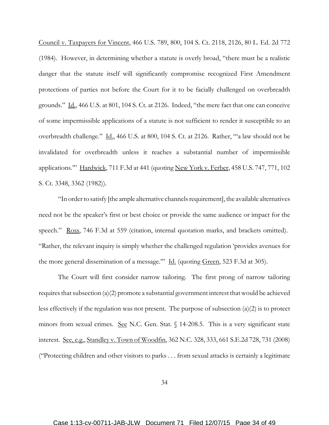Council v. Taxpayers for Vincent, 466 U.S. 789, 800, 104 S. Ct. 2118, 2126, 80 L. Ed. 2d 772 (1984). However, in determining whether a statute is overly broad, "there must be a realistic danger that the statute itself will significantly compromise recognized First Amendment protections of parties not before the Court for it to be facially challenged on overbreadth grounds." Id., 466 U.S. at 801, 104 S. Ct. at 2126. Indeed, "the mere fact that one can conceive of some impermissible applications of a statute is not sufficient to render it susceptible to an overbreadth challenge." Id., 466 U.S. at 800, 104 S. Ct. at 2126. Rather, "'a law should not be invalidated for overbreadth unless it reaches a substantial number of impermissible applications." Hardwick, 711 F.3d at 441 (quoting New York v. Ferber, 458 U.S. 747, 771, 102 S. Ct. 3348, 3362 (1982)).

"In order to satisfy [the ample alternative channels requirement], the available alternatives need not be the speaker's first or best choice or provide the same audience or impact for the speech." Ross, 746 F.3d at 559 (citation, internal quotation marks, and brackets omitted). "Rather, the relevant inquiry is simply whether the challenged regulation 'provides avenues for the more general dissemination of a message." Id. (quoting Green, 523 F.3d at 305).

The Court will first consider narrow tailoring. The first prong of narrow tailoring requires that subsection  $(a)(2)$  promote a substantial government interest that would be achieved less effectively if the regulation was not present. The purpose of subsection (a)(2) is to protect minors from sexual crimes. See N.C. Gen. Stat.  $\int$  14-208.5. This is a very significant state interest. See, e.g., Standley v. Town of Woodfin, 362 N.C. 328, 333, 661 S.E.2d 728, 731 (2008) ("Protecting children and other visitors to parks . . . from sexual attacks is certainly a legitimate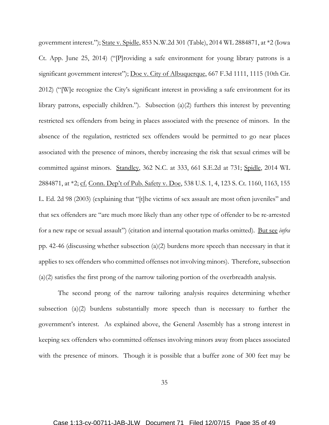government interest."); State v. Spidle, 853 N.W.2d 301 (Table), 2014 WL 2884871, at \*2 (Iowa Ct. App. June 25, 2014) ("[P]roviding a safe environment for young library patrons is a significant government interest"); <u>Doe v. City of Albuquerque</u>, 667 F.3d 1111, 1115 (10th Cir. 2012) ("[W]e recognize the City's significant interest in providing a safe environment for its library patrons, especially children."). Subsection (a)(2) furthers this interest by preventing restricted sex offenders from being in places associated with the presence of minors. In the absence of the regulation, restricted sex offenders would be permitted to go near places associated with the presence of minors, thereby increasing the risk that sexual crimes will be committed against minors. Standley, 362 N.C. at 333, 661 S.E.2d at 731; Spidle, 2014 WL 2884871, at \*2; cf. Conn. Dep't of Pub. Safety v. Doe, 538 U.S. 1, 4, 123 S. Ct. 1160, 1163, 155 L. Ed. 2d 98 (2003) (explaining that "[t]he victims of sex assault are most often juveniles" and that sex offenders are "are much more likely than any other type of offender to be re-arrested for a new rape or sexual assault") (citation and internal quotation marks omitted). But see *infra* pp. 42-46 (discussing whether subsection  $(a)(2)$  burdens more speech than necessary in that it applies to sex offenders who committed offenses not involving minors). Therefore, subsection (a)(2) satisfies the first prong of the narrow tailoring portion of the overbreadth analysis.

The second prong of the narrow tailoring analysis requires determining whether subsection (a)(2) burdens substantially more speech than is necessary to further the government's interest. As explained above, the General Assembly has a strong interest in keeping sex offenders who committed offenses involving minors away from places associated with the presence of minors. Though it is possible that a buffer zone of 300 feet may be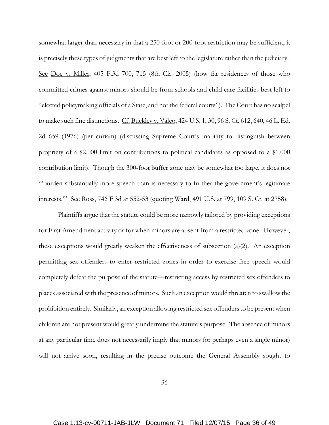somewhat larger than necessary in that a 250-foot or 200-foot restriction may be sufficient, it is precisely these types of judgments that are best left to the legislature rather than the judiciary. See Doe v. Miller, 405 F.3d 700, 715 (8th Cir. 2005) (how far residences of those who committed crimes against minors should be from schools and child care facilities best left to "elected policymaking officials of a State, and not the federal courts"). The Court has no scalpel to make such fine distinctions. Cf. Buckley v. Valeo, 424 U.S. 1, 30, 96 S. Ct. 612, 640, 46 L. Ed. 2d 659 (1976) (per curiam) (discussing Supreme Court's inability to distinguish between propriety of a \$2,000 limit on contributions to political candidates as opposed to a \$1,000 contribution limit). Though the 300-foot buffer zone may be somewhat too large, it does not "'burden substantially more speech than is necessary to further the government's legitimate interests."" See Ross, 746 F.3d at 552-53 (quoting Ward, 491 U.S. at 799, 109 S. Ct. at 2758).

Plaintiffs argue that the statute could be more narrowly tailored by providing exceptions for First Amendment activity or for when minors are absent from a restricted zone. However, these exceptions would greatly weaken the effectiveness of subsection (a)(2). An exception permitting sex offenders to enter restricted zones in order to exercise free speech would completely defeat the purpose of the statute—restricting access by restricted sex offenders to places associated with the presence of minors. Such an exception would threaten to swallow the prohibition entirely. Similarly, an exception allowing restricted sex offenders to be present when children are not present would greatly undermine the statute's purpose. The absence of minors at any particular time does not necessarily imply that minors (or perhaps even a single minor) will not arrive soon, resulting in the precise outcome the General Assembly sought to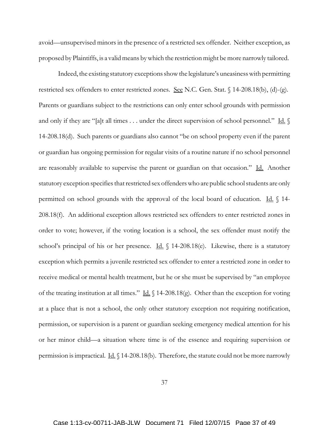avoid—unsupervised minors in the presence of a restricted sex offender. Neither exception, as proposed by Plaintiffs, is a valid means by which the restriction might be more narrowly tailored.

Indeed, the existing statutory exceptions show the legislature's uneasiness with permitting restricted sex offenders to enter restricted zones. See N.C. Gen. Stat. § 14-208.18(b), (d)-(g). Parents or guardians subject to the restrictions can only enter school grounds with permission and only if they are "[a]t all times  $\dots$  under the direct supervision of school personnel." Id.  $\oint$ 14-208.18(d). Such parents or guardians also cannot "be on school property even if the parent or guardian has ongoing permission for regular visits of a routine nature if no school personnel are reasonably available to supervise the parent or guardian on that occasion." Id. Another statutory exception specifies that restricted sex offenders who are public school students are only permitted on school grounds with the approval of the local board of education. Id.  $\sqrt{14}$ 208.18(f). An additional exception allows restricted sex offenders to enter restricted zones in order to vote; however, if the voting location is a school, the sex offender must notify the school's principal of his or her presence.  $\underline{\text{Id.}}$  § 14-208.18(e). Likewise, there is a statutory exception which permits a juvenile restricted sex offender to enter a restricted zone in order to receive medical or mental health treatment, but he or she must be supervised by "an employee of the treating institution at all times." Id.  $\int$  14-208.18(g). Other than the exception for voting at a place that is not a school, the only other statutory exception not requiring notification, permission, or supervision is a parent or guardian seeking emergency medical attention for his or her minor child—a situation where time is of the essence and requiring supervision or permission is impractical. <u>Id.</u> § 14-208.18(b). Therefore, the statute could not be more narrowly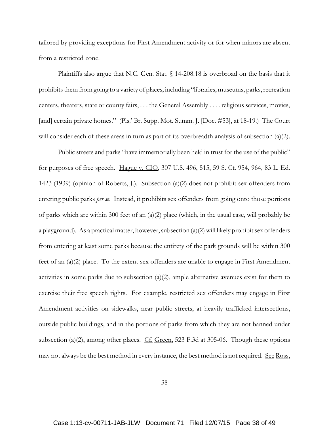tailored by providing exceptions for First Amendment activity or for when minors are absent from a restricted zone.

Plaintiffs also argue that N.C. Gen. Stat. § 14-208.18 is overbroad on the basis that it prohibits them from going to a variety of places, including "libraries, museums, parks, recreation centers, theaters, state or county fairs, . . . the General Assembly . . . . religious services, movies, [and] certain private homes." (Pls.' Br. Supp. Mot. Summ. J. [Doc. #53], at 18-19.) The Court will consider each of these areas in turn as part of its overbreadth analysis of subsection (a)(2).

Public streets and parks "have immemorially been held in trust for the use of the public" for purposes of free speech. Hague v. CIO, 307 U.S. 496, 515, 59 S. Ct. 954, 964, 83 L. Ed. 1423 (1939) (opinion of Roberts, J.). Subsection (a)(2) does not prohibit sex offenders from entering public parks *per se*. Instead, it prohibits sex offenders from going onto those portions of parks which are within 300 feet of an (a)(2) place (which, in the usual case, will probably be a playground). As a practical matter, however, subsection (a)(2) will likely prohibit sex offenders from entering at least some parks because the entirety of the park grounds will be within 300 feet of an (a)(2) place. To the extent sex offenders are unable to engage in First Amendment activities in some parks due to subsection  $(a)(2)$ , ample alternative avenues exist for them to exercise their free speech rights. For example, restricted sex offenders may engage in First Amendment activities on sidewalks, near public streets, at heavily trafficked intersections, outside public buildings, and in the portions of parks from which they are not banned under subsection (a)(2), among other places.  $Cf$ . Green, 523 F.3d at 305-06. Though these options may not always be the best method in every instance, the best method is not required. <u>See Ross</u>,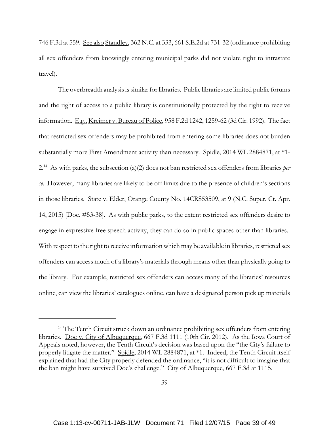746 F.3d at 559. See also Standley, 362 N.C. at 333, 661 S.E.2d at 731-32 (ordinance prohibiting all sex offenders from knowingly entering municipal parks did not violate right to intrastate travel).

The overbreadth analysis is similar for libraries. Public libraries are limited public forums and the right of access to a public library is constitutionally protected by the right to receive information. E.g., Kreimer v. Bureau of Police, 958 F.2d 1242, 1259-62 (3d Cir. 1992). The fact that restricted sex offenders may be prohibited from entering some libraries does not burden substantially more First Amendment activity than necessary. Spidle, 2014 WL 2884871, at \*1- 2.14 As with parks, the subsection (a)(2) does not ban restricted sex offenders from libraries *per se*. However, many libraries are likely to be off limits due to the presence of children's sections in those libraries. State v. Elder, Orange County No. 14CRS53509, at 9 (N.C. Super. Ct. Apr. 14, 2015) [Doc. #53-38]. As with public parks, to the extent restricted sex offenders desire to engage in expressive free speech activity, they can do so in public spaces other than libraries. With respect to the right to receive information which may be available in libraries, restricted sex offenders can access much of a library's materials through means other than physically going to the library. For example, restricted sex offenders can access many of the libraries' resources online, can view the libraries' catalogues online, can have a designated person pick up materials

<sup>&</sup>lt;sup>14</sup> The Tenth Circuit struck down an ordinance prohibiting sex offenders from entering libraries. Doe v. City of Albuquerque, 667 F.3d 1111 (10th Cir. 2012). As the Iowa Court of Appeals noted, however, the Tenth Circuit's decision was based upon the "the City's failure to properly litigate the matter." Spidle, 2014 WL 2884871, at \*1. Indeed, the Tenth Circuit itself explained that had the City properly defended the ordinance, "it is not difficult to imagine that the ban might have survived Doe's challenge." City of Albuquerque, 667 F.3d at 1115.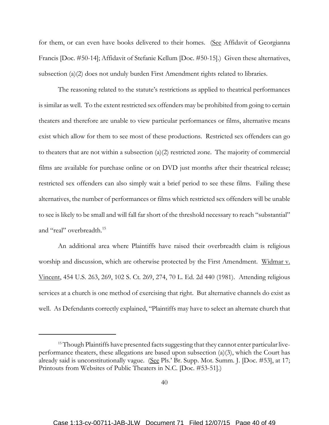for them, or can even have books delivered to their homes. (See Affidavit of Georgianna Francis [Doc. #50-14]; Affidavit of Stefanie Kellum [Doc. #50-15].) Given these alternatives, subsection (a)(2) does not unduly burden First Amendment rights related to libraries.

The reasoning related to the statute's restrictions as applied to theatrical performances is similar as well. To the extent restricted sex offenders may be prohibited from going to certain theaters and therefore are unable to view particular performances or films, alternative means exist which allow for them to see most of these productions. Restricted sex offenders can go to theaters that are not within a subsection  $(a)(2)$  restricted zone. The majority of commercial films are available for purchase online or on DVD just months after their theatrical release; restricted sex offenders can also simply wait a brief period to see these films. Failing these alternatives, the number of performances or films which restricted sex offenders will be unable to see is likely to be small and will fall far short of the threshold necessary to reach "substantial" and "real" overbreadth.<sup>15</sup>

An additional area where Plaintiffs have raised their overbreadth claim is religious worship and discussion, which are otherwise protected by the First Amendment. Widmar v. Vincent, 454 U.S. 263, 269, 102 S. Ct. 269, 274, 70 L. Ed. 2d 440 (1981). Attending religious services at a church is one method of exercising that right. But alternative channels do exist as well. As Defendants correctly explained, "Plaintiffs may have to select an alternate church that

<sup>&</sup>lt;sup>15</sup> Though Plaintiffs have presented facts suggesting that they cannot enter particular liveperformance theaters, these allegations are based upon subsection (a)(3), which the Court has already said is unconstitutionally vague. (See Pls.' Br. Supp. Mot. Summ. J. [Doc. #53], at 17; Printouts from Websites of Public Theaters in N.C. [Doc. #53-51].)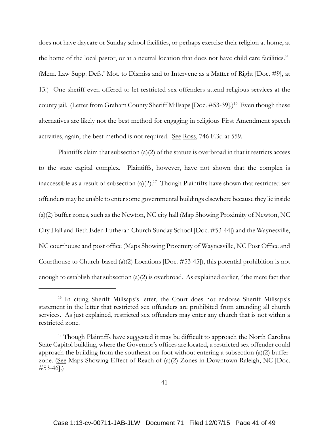does not have daycare or Sunday school facilities, or perhaps exercise their religion at home, at the home of the local pastor, or at a neutral location that does not have child care facilities." (Mem. Law Supp. Defs.' Mot. to Dismiss and to Intervene as a Matter of Right [Doc. #9], at 13.) One sheriff even offered to let restricted sex offenders attend religious services at the county jail. (Letter from Graham County Sheriff Millsaps [Doc. #53-39].)<sup>16</sup> Even though these alternatives are likely not the best method for engaging in religious First Amendment speech activities, again, the best method is not required. See Ross, 746 F.3d at 559.

Plaintiffs claim that subsection (a)(2) of the statute is overbroad in that it restricts access to the state capital complex. Plaintiffs, however, have not shown that the complex is inaccessible as a result of subsection (a)(2).<sup>17</sup> Though Plaintiffs have shown that restricted sex offenders may be unable to enter some governmental buildings elsewhere because they lie inside (a)(2) buffer zones, such as the Newton, NC city hall (Map Showing Proximity of Newton, NC City Hall and Beth Eden Lutheran Church Sunday School [Doc. #53-44]) and the Waynesville, NC courthouse and post office (Maps Showing Proximity of Waynesville, NC Post Office and Courthouse to Church-based (a)(2) Locations [Doc. #53-45]), this potential prohibition is not enough to establish that subsection (a)(2) is overbroad. As explained earlier, "the mere fact that

<sup>&</sup>lt;sup>16</sup> In citing Sheriff Millsaps's letter, the Court does not endorse Sheriff Millsaps's statement in the letter that restricted sex offenders are prohibited from attending all church services. As just explained, restricted sex offenders may enter any church that is not within a restricted zone.

<sup>&</sup>lt;sup>17</sup> Though Plaintiffs have suggested it may be difficult to approach the North Carolina State Capitol building, where the Governor's offices are located, a restricted sex offender could approach the building from the southeast on foot without entering a subsection (a)(2) buffer zone. (See Maps Showing Effect of Reach of (a)(2) Zones in Downtown Raleigh, NC [Doc. #53-46].)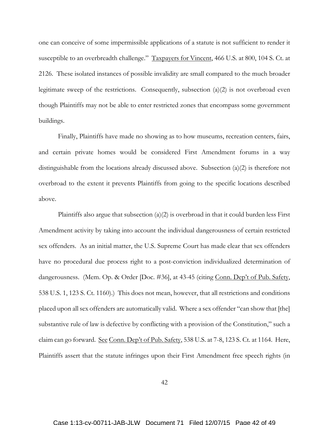one can conceive of some impermissible applications of a statute is not sufficient to render it susceptible to an overbreadth challenge." Taxpayers for Vincent, 466 U.S. at 800, 104 S. Ct. at 2126. These isolated instances of possible invalidity are small compared to the much broader legitimate sweep of the restrictions. Consequently, subsection (a)(2) is not overbroad even though Plaintiffs may not be able to enter restricted zones that encompass some government buildings.

Finally, Plaintiffs have made no showing as to how museums, recreation centers, fairs, and certain private homes would be considered First Amendment forums in a way distinguishable from the locations already discussed above. Subsection (a)(2) is therefore not overbroad to the extent it prevents Plaintiffs from going to the specific locations described above.

Plaintiffs also argue that subsection  $(a)(2)$  is overbroad in that it could burden less First Amendment activity by taking into account the individual dangerousness of certain restricted sex offenders. As an initial matter, the U.S. Supreme Court has made clear that sex offenders have no procedural due process right to a post-conviction individualized determination of dangerousness. (Mem. Op. & Order [Doc. #36], at 43-45 (citing Conn. Dep't of Pub. Safety, 538 U.S. 1, 123 S. Ct. 1160).) This does not mean, however, that all restrictions and conditions placed upon all sex offenders are automatically valid. Where a sex offender "can show that [the] substantive rule of law is defective by conflicting with a provision of the Constitution," such a claim can go forward. See Conn. Dep't of Pub. Safety, 538 U.S. at 7-8, 123 S. Ct. at 1164. Here, Plaintiffs assert that the statute infringes upon their First Amendment free speech rights (in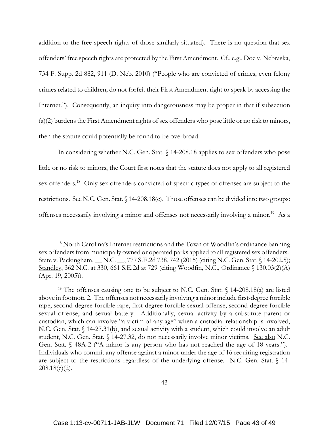addition to the free speech rights of those similarly situated). There is no question that sex offenders' free speech rights are protected by the First Amendment. Cf., e.g., Doe v. Nebraska, 734 F. Supp. 2d 882, 911 (D. Neb. 2010) ("People who are convicted of crimes, even felony crimes related to children, do not forfeit their First Amendment right to speak by accessing the Internet."). Consequently, an inquiry into dangerousness may be proper in that if subsection (a)(2) burdens the First Amendment rights of sex offenders who pose little or no risk to minors, then the statute could potentially be found to be overbroad.

In considering whether N.C. Gen. Stat. § 14-208.18 applies to sex offenders who pose little or no risk to minors, the Court first notes that the statute does not apply to all registered sex offenders.<sup>18</sup> Only sex offenders convicted of specific types of offenses are subject to the restrictions. See N.C. Gen. Stat. § 14-208.18(c). Those offenses can be divided into two groups: offenses necessarily involving a minor and offenses not necessarily involving a minor.19 As a

<sup>&</sup>lt;sup>18</sup> North Carolina's Internet restrictions and the Town of Woodfin's ordinance banning sex offenders from municipally owned or operated parks applied to all registered sex offenders. State v. Packingham, \_\_ N.C. \_\_, 777 S.E.2d 738, 742 (2015) (citing N.C. Gen. Stat. § 14-202.5); Standley, 362 N.C. at 330, 661 S.E.2d at 729 (citing Woodfin, N.C., Ordinance § 130.03(2)(A) (Apr. 19, 2005)).

<sup>&</sup>lt;sup>19</sup> The offenses causing one to be subject to N.C. Gen. Stat.  $\int$  14-208.18(a) are listed above in footnote 2. The offenses not necessarily involving a minor include first-degree forcible rape, second-degree forcible rape, first-degree forcible sexual offense, second-degree forcible sexual offense, and sexual battery. Additionally, sexual activity by a substitute parent or custodian, which can involve "a victim of any age" when a custodial relationship is involved, N.C. Gen. Stat. § 14-27.31(b), and sexual activity with a student, which could involve an adult student, N.C. Gen. Stat. § 14-27.32, do not necessarily involve minor victims. See also N.C. Gen. Stat. § 48A-2 ("A minor is any person who has not reached the age of 18 years."). Individuals who commit any offense against a minor under the age of 16 requiring registration are subject to the restrictions regardless of the underlying offense. N.C. Gen. Stat. § 14-  $208.18(c)(2)$ .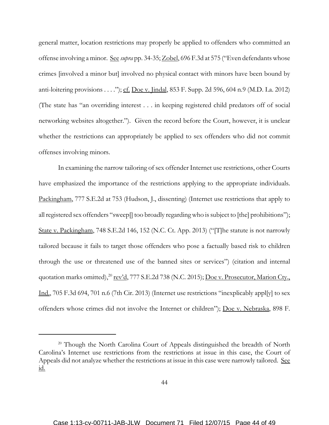general matter, location restrictions may properly be applied to offenders who committed an offense involving a minor. See *supra* pp. 34-35; Zobel, 696 F.3d at 575 ("Even defendants whose crimes [involved a minor but] involved no physical contact with minors have been bound by anti-loitering provisions . . . ."); cf. Doe v. Jindal, 853 F. Supp. 2d 596, 604 n.9 (M.D. La. 2012) (The state has "an overriding interest . . . in keeping registered child predators off of social networking websites altogether."). Given the record before the Court, however, it is unclear whether the restrictions can appropriately be applied to sex offenders who did not commit offenses involving minors.

In examining the narrow tailoring of sex offender Internet use restrictions, other Courts have emphasized the importance of the restrictions applying to the appropriate individuals. Packingham, 777 S.E.2d at 753 (Hudson, J., dissenting) (Internet use restrictions that apply to all registered sex offenders "sweep[] too broadly regarding who is subject to [the] prohibitions"); State v. Packingham, 748 S.E.2d 146, 152 (N.C. Ct. App. 2013) ("[T]he statute is not narrowly tailored because it fails to target those offenders who pose a factually based risk to children through the use or threatened use of the banned sites or services") (citation and internal quotation marks omitted), $^{20}$  rev'd, 777 S.E.2d 738 (N.C. 2015); Doe v. Prosecutor, Marion Cty. Ind., 705 F.3d 694, 701 n.6 (7th Cir. 2013) (Internet use restrictions "inexplicably appl[y] to sex offenders whose crimes did not involve the Internet or children"); Doe v. Nebraska, 898 F.

<sup>&</sup>lt;sup>20</sup> Though the North Carolina Court of Appeals distinguished the breadth of North Carolina's Internet use restrictions from the restrictions at issue in this case, the Court of Appeals did not analyze whether the restrictions at issue in this case were narrowly tailored. See id.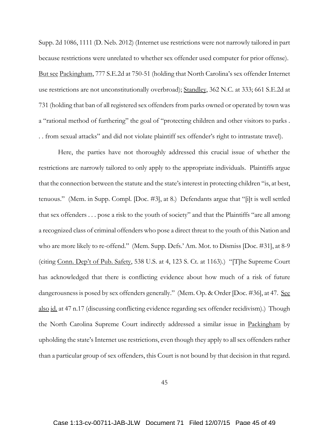Supp. 2d 1086, 1111 (D. Neb. 2012) (Internet use restrictions were not narrowly tailored in part because restrictions were unrelated to whether sex offender used computer for prior offense). But see Packingham, 777 S.E.2d at 750-51 (holding that North Carolina's sex offender Internet use restrictions are not unconstitutionally overbroad); Standley, 362 N.C. at 333; 661 S.E.2d at 731 (holding that ban of all registered sex offenders from parks owned or operated by town was a "rational method of furthering" the goal of "protecting children and other visitors to parks . . . from sexual attacks" and did not violate plaintiff sex offender's right to intrastate travel).

Here, the parties have not thoroughly addressed this crucial issue of whether the restrictions are narrowly tailored to only apply to the appropriate individuals. Plaintiffs argue that the connection between the statute and the state's interest in protecting children "is, at best, tenuous." (Mem. in Supp. Compl. [Doc. #3], at 8.) Defendants argue that "[i]t is well settled that sex offenders . . . pose a risk to the youth of society" and that the Plaintiffs "are all among a recognized class of criminal offenders who pose a direct threat to the youth of this Nation and who are more likely to re-offend." (Mem. Supp. Defs.' Am. Mot. to Dismiss [Doc. #31], at 8-9 (citing Conn. Dep't of Pub. Safety, 538 U.S. at 4, 123 S. Ct. at 1163).) "[T]he Supreme Court has acknowledged that there is conflicting evidence about how much of a risk of future dangerousness is posed by sex offenders generally." (Mem. Op. & Order [Doc. #36], at 47. See also id. at 47 n.17 (discussing conflicting evidence regarding sex offender recidivism).) Though the North Carolina Supreme Court indirectly addressed a similar issue in Packingham by upholding the state's Internet use restrictions, even though they apply to all sex offenders rather than a particular group of sex offenders, this Court is not bound by that decision in that regard.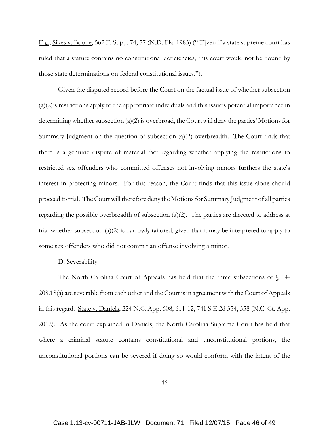E.g., Sikes v. Boone, 562 F. Supp. 74, 77 (N.D. Fla. 1983) ("[E]ven if a state supreme court has ruled that a statute contains no constitutional deficiencies, this court would not be bound by those state determinations on federal constitutional issues.").

Given the disputed record before the Court on the factual issue of whether subsection (a)(2)'s restrictions apply to the appropriate individuals and this issue's potential importance in determining whether subsection (a)(2) is overbroad, the Court will deny the parties' Motions for Summary Judgment on the question of subsection (a)(2) overbreadth. The Court finds that there is a genuine dispute of material fact regarding whether applying the restrictions to restricted sex offenders who committed offenses not involving minors furthers the state's interest in protecting minors. For this reason, the Court finds that this issue alone should proceed to trial. The Court will therefore deny the Motions for Summary Judgment of all parties regarding the possible overbreadth of subsection (a)(2). The parties are directed to address at trial whether subsection (a)(2) is narrowly tailored, given that it may be interpreted to apply to some sex offenders who did not commit an offense involving a minor.

### D. Severability

The North Carolina Court of Appeals has held that the three subsections of § 14- 208.18(a) are severable from each other and the Court is in agreement with the Court of Appeals in this regard. State v. Daniels, 224 N.C. App. 608, 611-12, 741 S.E.2d 354, 358 (N.C. Ct. App. 2012). As the court explained in Daniels, the North Carolina Supreme Court has held that where a criminal statute contains constitutional and unconstitutional portions, the unconstitutional portions can be severed if doing so would conform with the intent of the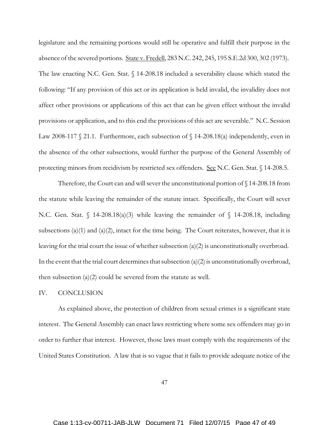legislature and the remaining portions would still be operative and fulfill their purpose in the absence of the severed portions. State v. Fredell, 283 N.C. 242, 245, 195 S.E.2d 300, 302 (1973). The law enacting N.C. Gen. Stat. § 14-208.18 included a severability clause which stated the following: "If any provision of this act or its application is held invalid, the invalidity does not affect other provisions or applications of this act that can be given effect without the invalid provisions or application, and to this end the provisions of this act are severable." N.C. Session Law 2008-117 § 21.1. Furthermore, each subsection of § 14-208.18(a) independently, even in the absence of the other subsections, would further the purpose of the General Assembly of protecting minors from recidivism by restricted sex offenders. See N.C. Gen. Stat. § 14-208.5.

Therefore, the Court can and will sever the unconstitutional portion of  $\S 14$ -208.18 from the statute while leaving the remainder of the statute intact. Specifically, the Court will sever N.C. Gen. Stat.  $\int$  14-208.18(a)(3) while leaving the remainder of  $\int$  14-208.18, including subsections (a)(1) and (a)(2), intact for the time being. The Court reiterates, however, that it is leaving for the trial court the issue of whether subsection (a)(2) is unconstitutionally overbroad. In the event that the trial court determines that subsection  $(a)(2)$  is unconstitutionally overbroad, then subsection  $(a)(2)$  could be severed from the statute as well.

#### IV. CONCLUSION

As explained above, the protection of children from sexual crimes is a significant state interest. The General Assembly can enact laws restricting where some sex offenders may go in order to further that interest. However, those laws must comply with the requirements of the United States Constitution. A law that is so vague that it fails to provide adequate notice of the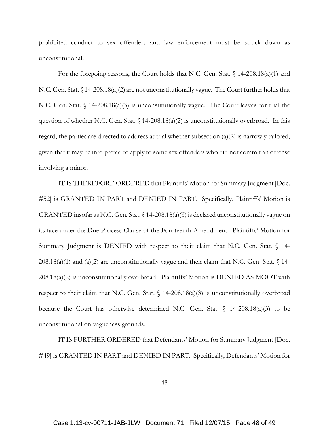prohibited conduct to sex offenders and law enforcement must be struck down as unconstitutional.

For the foregoing reasons, the Court holds that N.C. Gen. Stat. § 14-208.18(a)(1) and N.C. Gen. Stat. § 14-208.18(a)(2) are not unconstitutionally vague. The Court further holds that N.C. Gen. Stat. § 14-208.18(a)(3) is unconstitutionally vague. The Court leaves for trial the question of whether N.C. Gen. Stat.  $\frac{14-208.18(a)(2)}{2}$  is unconstitutionally overbroad. In this regard, the parties are directed to address at trial whether subsection (a)(2) is narrowly tailored, given that it may be interpreted to apply to some sex offenders who did not commit an offense involving a minor.

IT IS THEREFORE ORDERED that Plaintiffs' Motion for Summary Judgment [Doc. #52] is GRANTED IN PART and DENIED IN PART. Specifically, Plaintiffs' Motion is GRANTED insofar as N.C. Gen. Stat. § 14-208.18(a)(3) is declared unconstitutionally vague on its face under the Due Process Clause of the Fourteenth Amendment. Plaintiffs' Motion for Summary Judgment is DENIED with respect to their claim that N.C. Gen. Stat. § 14- $208.18(a)(1)$  and  $(a)(2)$  are unconstitutionally vague and their claim that N.C. Gen. Stat. § 14-208.18(a)(2) is unconstitutionally overbroad. Plaintiffs' Motion is DENIED AS MOOT with respect to their claim that N.C. Gen. Stat.  $\int$  14-208.18(a)(3) is unconstitutionally overbroad because the Court has otherwise determined N.C. Gen. Stat.  $\int$  14-208.18(a)(3) to be unconstitutional on vagueness grounds.

IT IS FURTHER ORDERED that Defendants' Motion for Summary Judgment [Doc. #49] is GRANTED IN PART and DENIED IN PART. Specifically, Defendants' Motion for